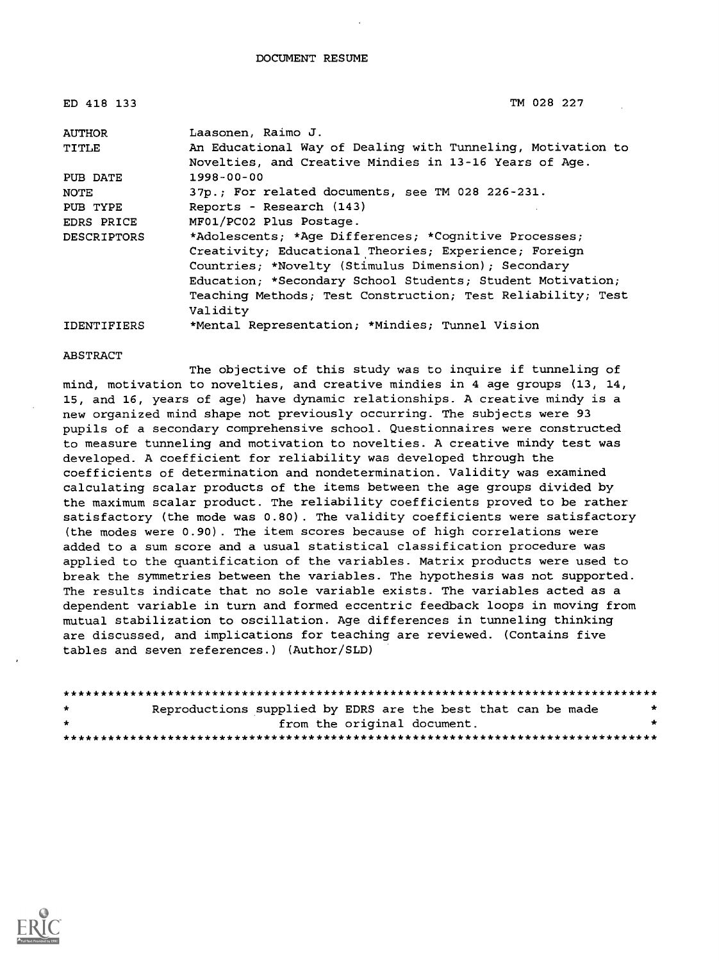| ED 418 133         | TM 028 227                                                                                                                                                                                                                                                                                                     |
|--------------------|----------------------------------------------------------------------------------------------------------------------------------------------------------------------------------------------------------------------------------------------------------------------------------------------------------------|
| <b>AUTHOR</b>      | Laasonen, Raimo J.                                                                                                                                                                                                                                                                                             |
| TITLE              | An Educational Way of Dealing with Tunneling, Motivation to<br>Novelties, and Creative Mindies in 13-16 Years of Age.                                                                                                                                                                                          |
| PUB DATE           | $1998 - 00 - 00$                                                                                                                                                                                                                                                                                               |
| NOTE               | 37p.; For related documents, see TM 028 226-231.                                                                                                                                                                                                                                                               |
| PUB TYPE           | Reports - Research (143)                                                                                                                                                                                                                                                                                       |
| EDRS PRICE         | MF01/PC02 Plus Postage.                                                                                                                                                                                                                                                                                        |
| <b>DESCRIPTORS</b> | *Adolescents; *Aqe Differences; *Cognitive Processes;<br>Creativity; Educational Theories; Experience; Foreign<br>Countries; *Novelty (Stimulus Dimension); Secondary<br>Education: *Secondary School Students; Student Motivation;<br>Teaching Methods; Test Construction; Test Reliability; Test<br>Validity |
| <b>IDENTIFIERS</b> | *Mental Representation; *Mindies; Tunnel Vision                                                                                                                                                                                                                                                                |

#### ABSTRACT

The objective of this study was to inquire if tunneling of mind, motivation to novelties, and creative mindies in 4 age groups (13, 14, 15, and 16, years of age) have dynamic relationships. A creative mindy is a new organized mind shape not previously occurring. The subjects were 93 pupils of a secondary comprehensive school. Questionnaires were constructed to measure tunneling and motivation to novelties. A creative mindy test was developed. A coefficient for reliability was developed through the coefficients of determination and nondetermination. Validity was examined calculating scalar products of the items between the age groups divided by the maximum scalar product. The reliability coefficients proved to be rather satisfactory (the mode was 0.80). The validity coefficients were satisfactory (the modes were 0.90). The item scores because of high correlations were added to a sum score and a usual statistical classification procedure was applied to the quantification of the variables. Matrix products were used to break the symmetries between the variables. The hypothesis was not supported. The results indicate that no sole variable exists. The variables acted as a dependent variable in turn and formed eccentric feedback loops in moving from mutual stabilization to oscillation. Age differences in tunneling thinking are discussed, and implications for teaching are reviewed. (Contains five tables and seven references.) (Author/SLD)

| $\star$ | Reproductions supplied by EDRS are the best that can be made |                             |  |  | $\mathbf{r}$ |
|---------|--------------------------------------------------------------|-----------------------------|--|--|--------------|
| $\star$ |                                                              | from the original document. |  |  | *            |
|         |                                                              |                             |  |  |              |

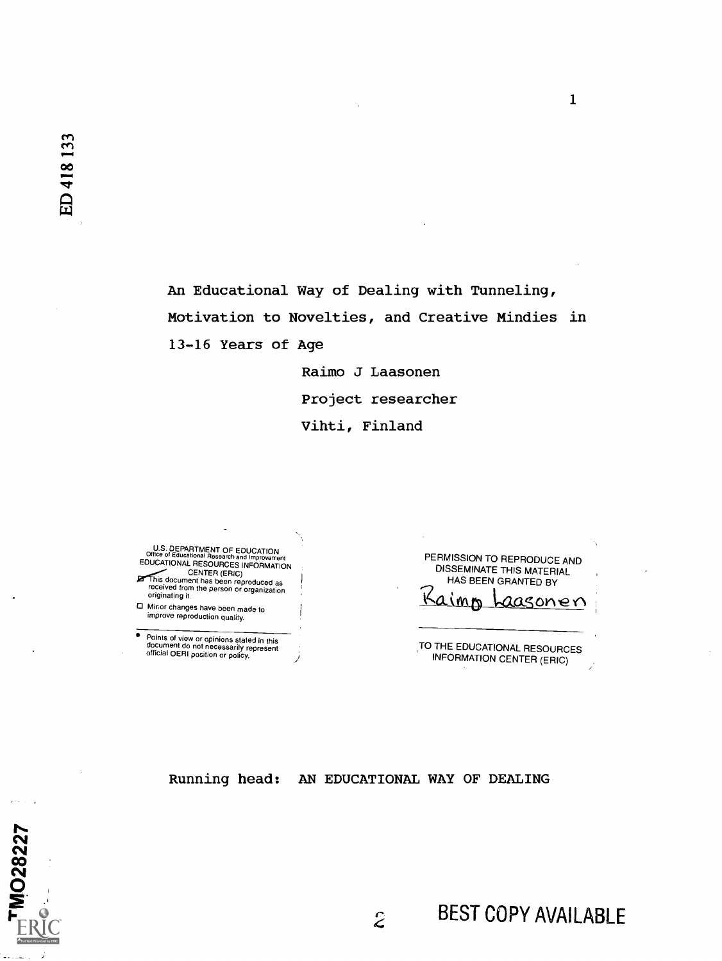MO28227

An Educational Way of Dealing with Tunneling, Motivation to Novelties, and Creative Mindies in 13-16 Years of Age

> Raimo J Laasonen Project researcher Vihti, Finland

U.S. DEPARTMENT OF EDUCATION<br>Office of Educational Research and Improvement EDUCATIONAL RESOURCES INFORMATION CENTER (ERIC) his document has been reproducedas received from the person or organization originating it.

Minor changes have been made to improve reproduction quality.

Points of view or opinions stated in this<br>document do not necessarily represent<br>official OERI position or policy.

PERMISSION TO REPRODUCE AND DISSEMINATE THIS MATERIAL HAS BEEN GRANTED BY aasonen imp

 $\mathbf{1}$ 

TO THE EDUCATIONAL RESOURCES INFORMATION CENTER (ERIC)

Running head: AN EDUCATIONAL WAY OF DEALING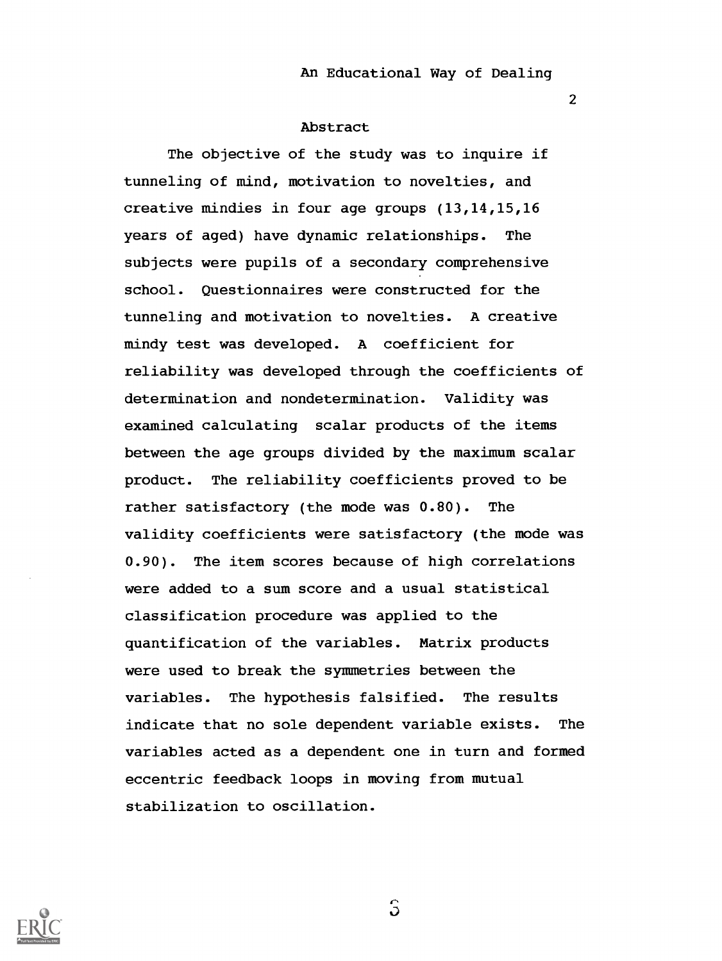2

## Abstract

The objective of the study was to inquire if tunneling of mind, motivation to novelties, and creative mindies in four age groups (13,14,15,16 years of aged) have dynamic relationships. The subjects were pupils of a secondary comprehensive school. Questionnaires were constructed for the tunneling and motivation to novelties. A creative mindy test was developed. A coefficient for reliability was developed through the coefficients of determination and nondetermination. Validity was examined calculating scalar products of the items between the age groups divided by the maximum scalar product. The reliability coefficients proved to be rather satisfactory (the mode was 0.80). The validity coefficients were satisfactory (the mode was 0.90). The item scores because of high correlations were added to a sum score and a usual statistical classification procedure was applied to the quantification of the variables. Matrix products were used to break the symmetries between the variables. The hypothesis falsified. The results indicate that no sole dependent variable exists. The variables acted as a dependent one in turn and formed eccentric feedback loops in moving from mutual stabilization to oscillation.



 $\mathbf{S}$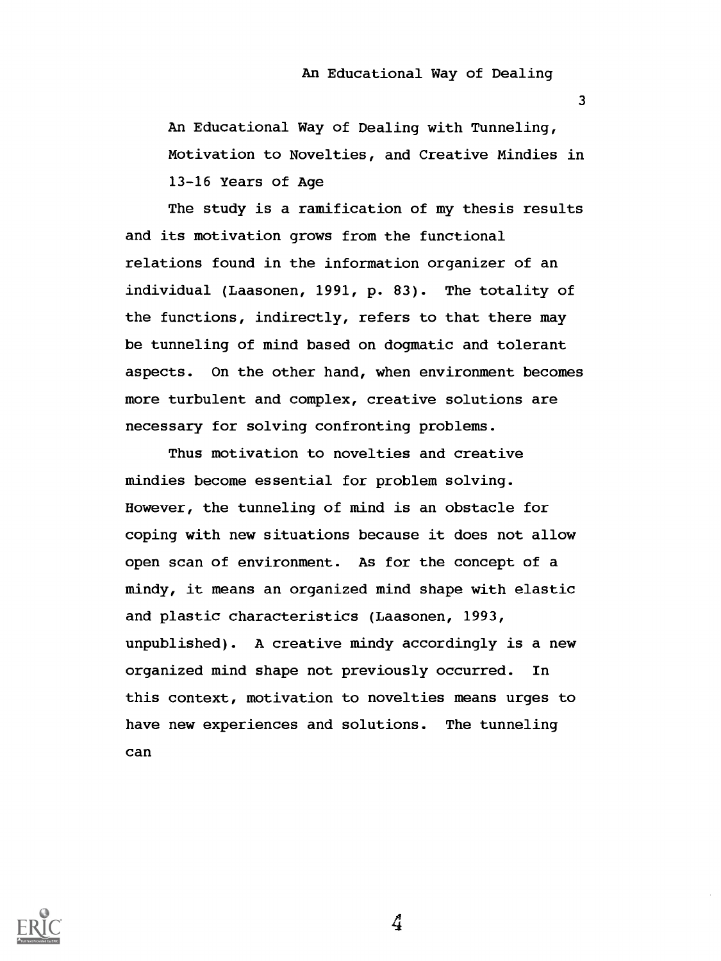$\overline{3}$ 

An Educational Way of Dealing with Tunneling, Motivation to Novelties, and Creative Mindies in 13-16 Years of Age

The study is a ramification of my thesis results and its motivation grows from the functional relations found in the information organizer of an individual (Laasonen, 1991, p. 83). The totality of the functions, indirectly, refers to that there may be tunneling of mind based on dogmatic and tolerant aspects. On the other hand, when environment becomes more turbulent and complex, creative solutions are necessary for solving confronting problems.

Thus motivation to novelties and creative mindies become essential for problem solving. However, the tunneling of mind is an obstacle for coping with new situations because it does not allow open scan of environment. As for the concept of a mindy, it means an organized mind shape with elastic and plastic characteristics (Laasonen, 1993, unpublished). A creative mindy accordingly is a new organized mind shape not previously occurred. In this context, motivation to novelties means urges to have new experiences and solutions. The tunneling can



 $\mathcal{L}$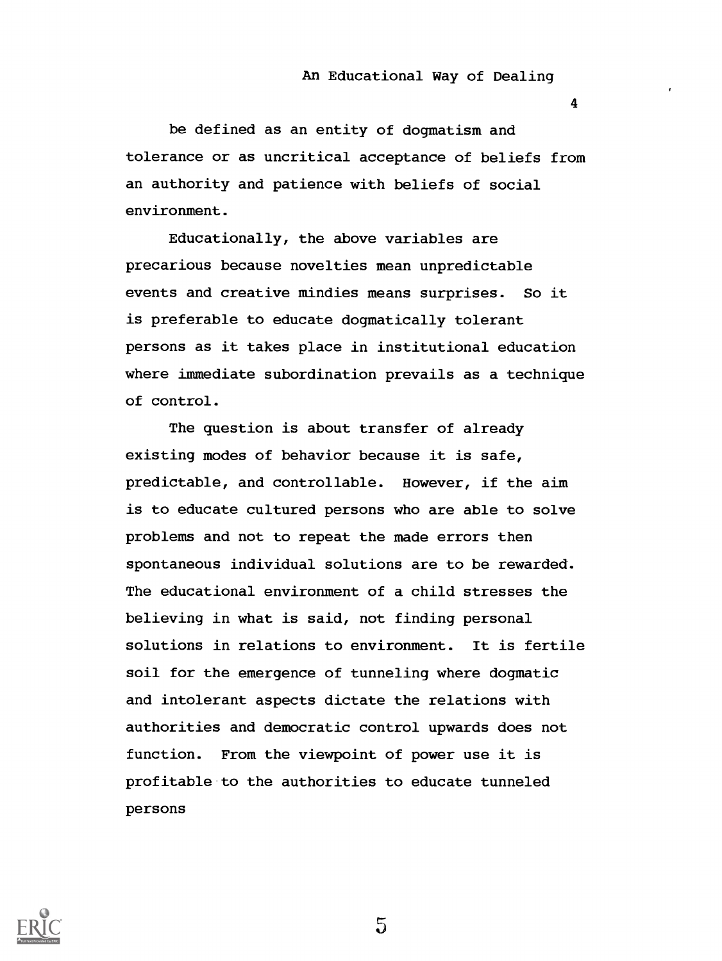4

be defined as an entity of dogmatism and tolerance or as uncritical acceptance of beliefs from an authority and patience with beliefs of social environment.

Educationally, the above variables are precarious because novelties mean unpredictable events and creative mindies means surprises. So it is preferable to educate dogmatically tolerant persons as it takes place in institutional education where immediate subordination prevails as a technique of control.

The question is about transfer of already existing modes of behavior because it is safe, predictable, and controllable. However, if the aim is to educate cultured persons who are able to solve problems and not to repeat the made errors then spontaneous individual solutions are to be rewarded. The educational environment of a child stresses the believing in what is said, not finding personal solutions in relations to environment. It is fertile soil for the emergence of tunneling where dogmatic and intolerant aspects dictate the relations with authorities and democratic control upwards does not function. From the viewpoint of power use it is profitable to the authorities to educate tunneled persons

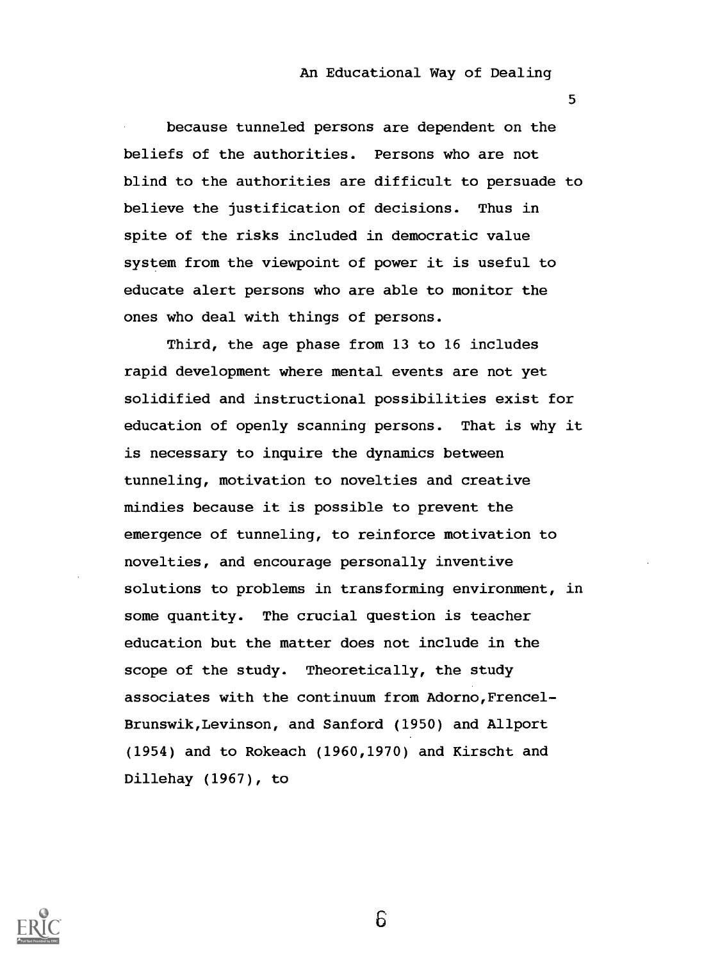5

because tunneled persons are dependent on the beliefs of the authorities. Persons who are not blind to the authorities are difficult to persuade to believe the justification of decisions. Thus in spite of the risks included in democratic value system from the viewpoint of power it is useful to educate alert persons who are able to monitor the ones who deal with things of persons.

Third, the age phase from 13 to 16 includes rapid development where mental events are not yet solidified and instructional possibilities exist for education of openly scanning persons. That is why it is necessary to inquire the dynamics between tunneling, motivation to novelties and creative mindies because it is possible to prevent the emergence of tunneling, to reinforce motivation to novelties, and encourage personally inventive solutions to problems in transforming environment, in some quantity. The crucial question is teacher education but the matter does not include in the scope of the study. Theoretically, the study associates with the continuum from Adorno,Frencel-Brunswik, Levinson, and Sanford (1950) and Allport (1954) and to Rokeach (1960,1970) and Kirscht and Dillehay (1967), to

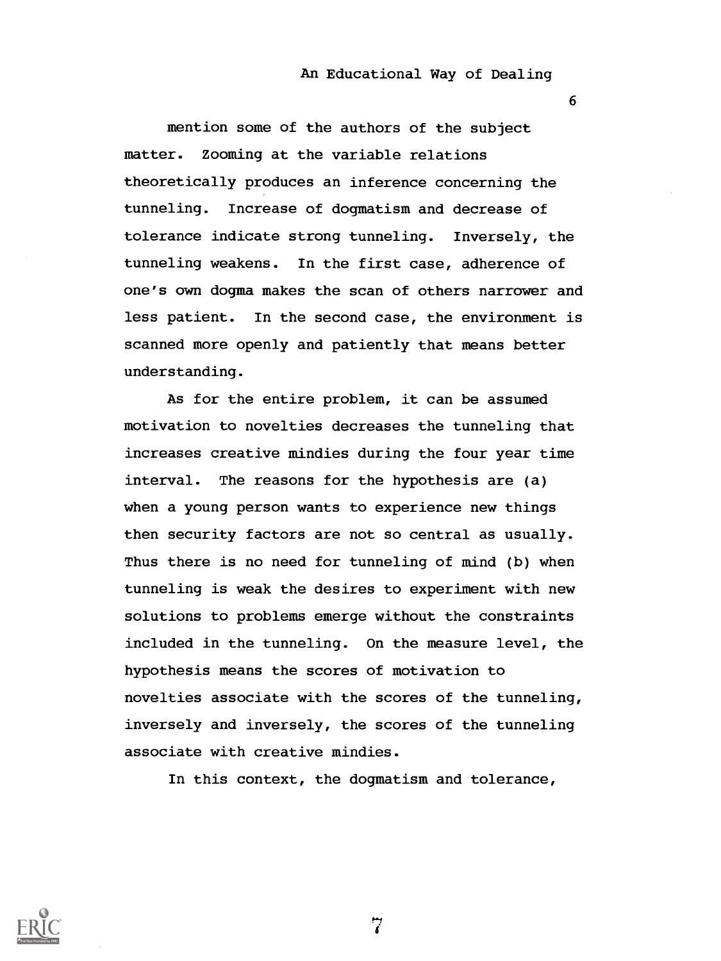6

mention some of the authors of the subject matter. Zooming at the variable relations theoretically produces an inference concerning the tunneling. Increase of dogmatism and decrease of tolerance indicate strong tunneling. Inversely, the tunneling weakens. In the first case, adherence of one's own dogma makes the scan of others narrower and less patient. In the second case, the environment is scanned more openly and patiently that means better understanding.

As for the entire problem, it can be assumed motivation to novelties decreases the tunneling that increases creative mindies during the four year time interval. The reasons for the hypothesis are (a) when a young person wants to experience new things then security factors are not so central as usually. Thus there is no need for tunneling of mind (b) when tunneling is weak the desires to experiment with new solutions to problems emerge without the constraints included in the tunneling. On the measure level, the hypothesis means the scores of motivation to novelties associate with the scores of the tunneling, inversely and inversely, the scores of the tunneling associate with creative mindies.

In this context, the dogmatism and tolerance,

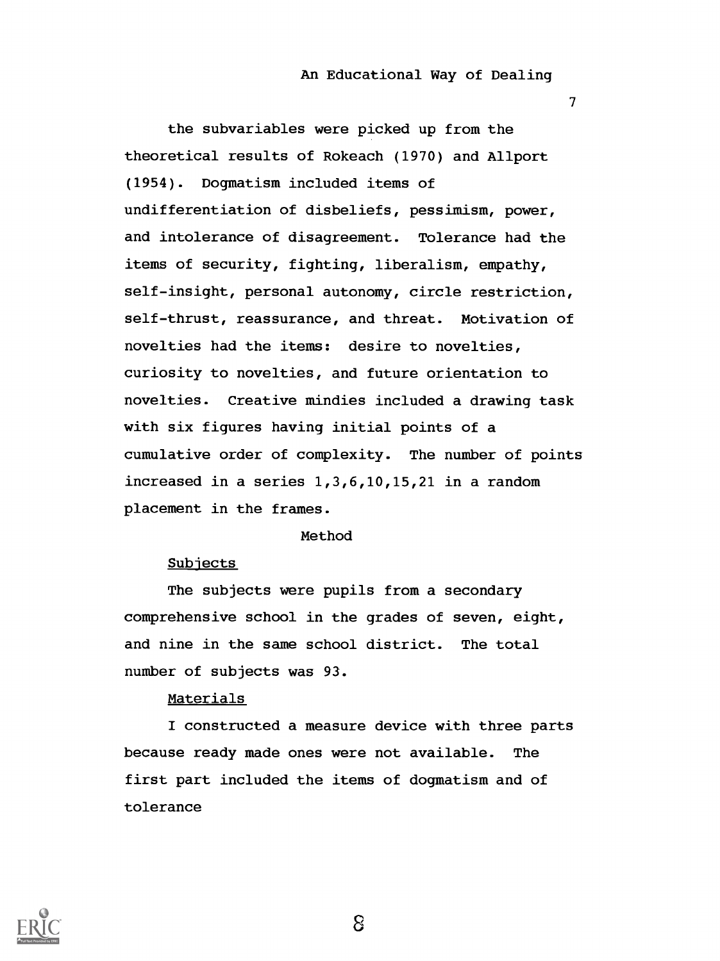7

the subvariables were picked up from the theoretical results of Rokeach (1970) and Allport (1954). Dogmatism included items of undifferentiation of disbeliefs, pessimism, power, and intolerance of disagreement. Tolerance had the items of security, fighting, liberalism, empathy, self-insight, personal autonomy, circle restriction, self-thrust, reassurance, and threat. Motivation of novelties had the items: desire to novelties, curiosity to novelties, and future orientation to novelties. Creative mindies included a drawing task with six figures having initial points of a cumulative order of complexity. The number of points increased in a series 1,3,6,10,15,21 in a random placement in the frames.

### Method

### Subiects

The subjects were pupils from a secondary comprehensive school in the grades of seven, eight, and nine in the same school district. The total number of subjects was 93.

## Materials

I constructed a measure device with three parts because ready made ones were not available. The first part included the items of dogmatism and of tolerance

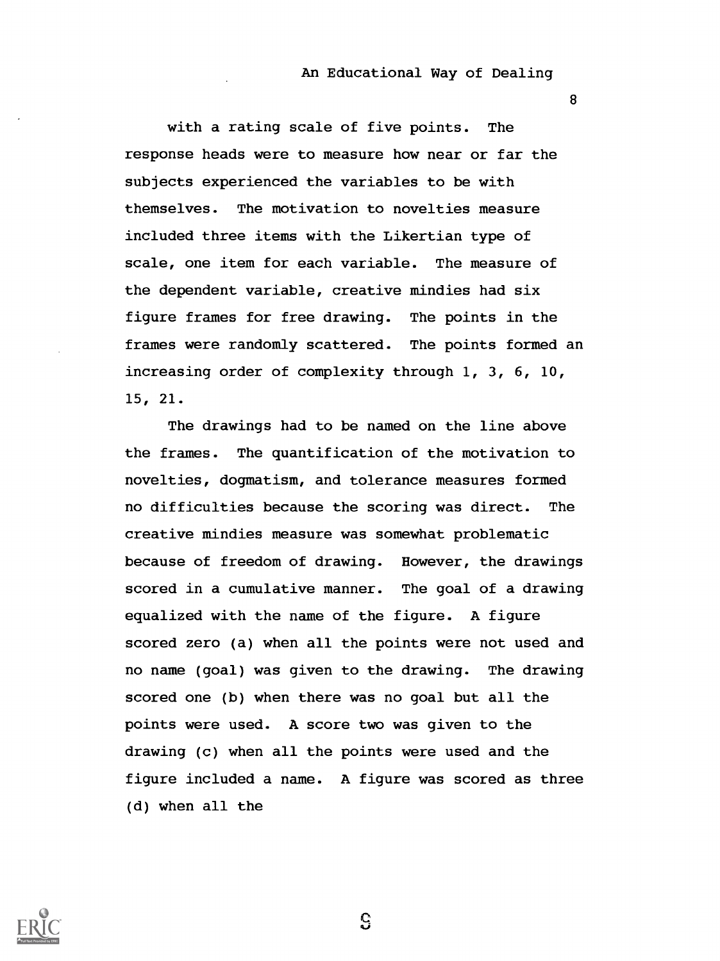8

with a rating scale of five points. The response heads were to measure how near or far the subjects experienced the variables to be with themselves. The motivation to novelties measure included three items with the Likertian type of scale, one item for each variable. The measure of the dependent variable, creative mindies had six figure frames for free drawing. The points in the frames were randomly scattered. The points formed an increasing order of complexity through 1, 3, 6, 10, 15, 21.

The drawings had to be named on the line above the frames. The quantification of the motivation to novelties, dogmatism, and tolerance measures formed no difficulties because the scoring was direct. The creative mindies measure was somewhat problematic because of freedom of drawing. However, the drawings scored in a cumulative manner. The goal of a drawing equalized with the name of the figure. A figure scored zero (a) when all the points were not used and no name (goal) was given to the drawing. The drawing scored one (b) when there was no goal but all the points were used. A score two was given to the drawing (c) when all the points were used and the figure included a name. A figure was scored as three (d) when all the



 $\mathbf{G}$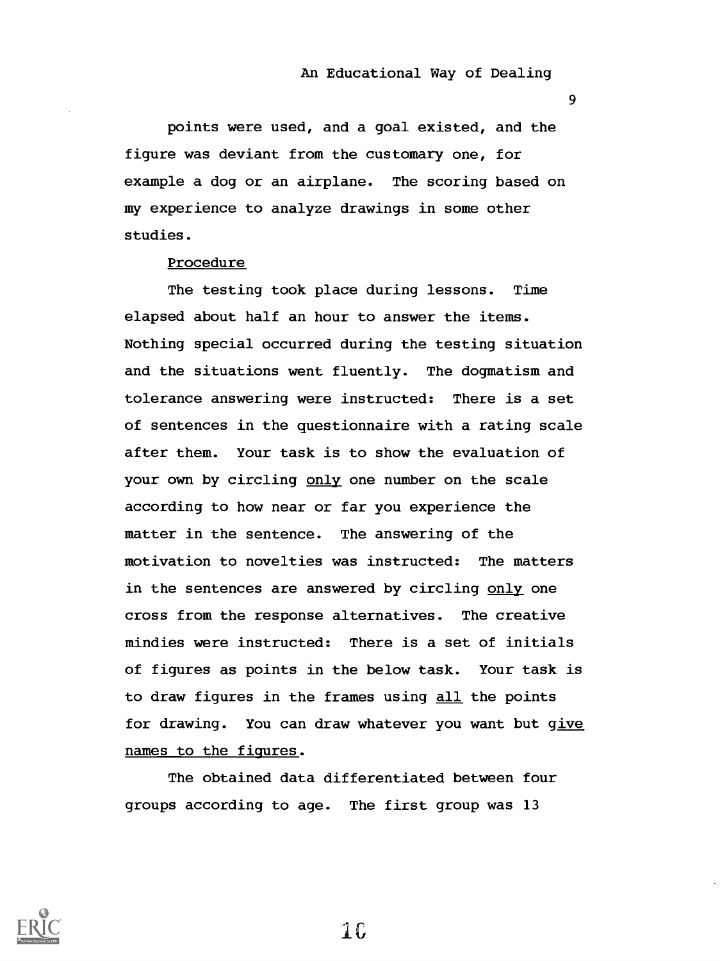9

points were used, and a goal existed, and the figure was deviant from the customary one, for example a dog or an airplane. The scoring based on my experience to analyze drawings in some other studies.

### Procedure

The testing took place during lessons. Time elapsed about half an hour to answer the items. Nothing special occurred during the testing situation and the situations went fluently. The dogmatism and tolerance answering were instructed: There is a set of sentences in the questionnaire with a rating scale after them. Your task is to show the evaluation of your own by circling only one number on the scale according to how near or far you experience the matter in the sentence. The answering of the motivation to novelties was instructed: The matters in the sentences are answered by circling only one cross from the response alternatives. The creative mindies were instructed: There is a set of initials of figures as points in the below task. Your task is to draw figures in the frames using all the points for drawing. You can draw whatever you want but qive names to the figures.

The obtained data differentiated between four groups according to age. The first group was 13



 $1<sub>0</sub>$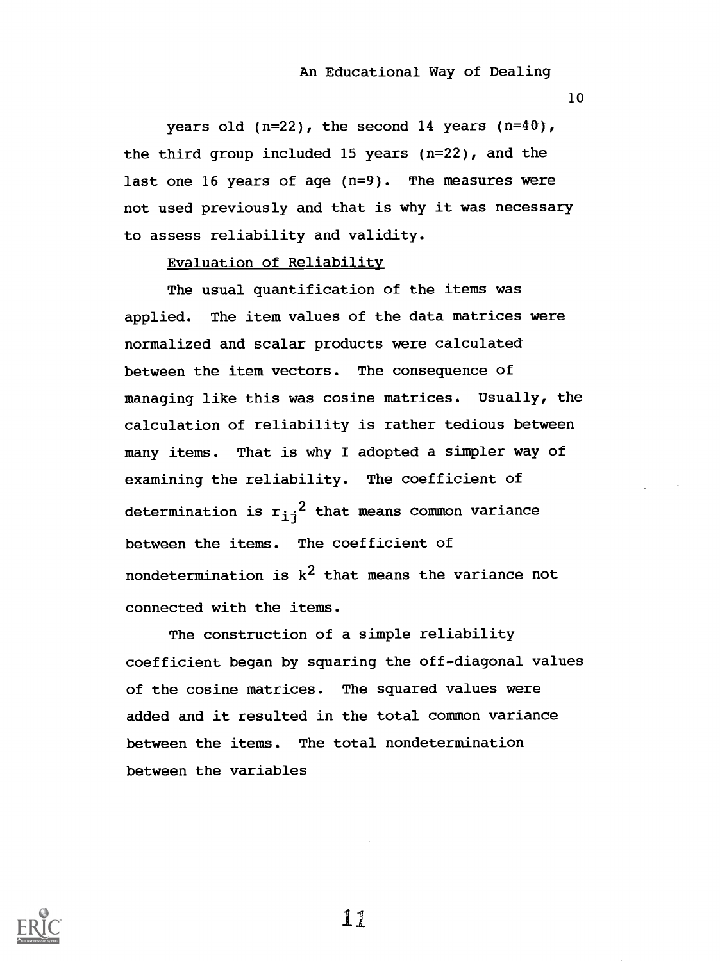10

years old  $(n=22)$ , the second 14 years  $(n=40)$ , the third group included 15 years (n=22), and the last one 16 years of age (n=9). The measures were not used previously and that is why it was necessary to assess reliability and validity.

## Evaluation of Reliability

The usual quantification of the items was applied. The item values of the data matrices were normalized and scalar products were calculated between the item vectors. The consequence of managing like this was cosine matrices. Usually, the calculation of reliability is rather tedious between many items. That is why I adopted a simpler way of examining the reliability. The coefficient of determination is  $r_{i,j}^2$  that means common variance between the items. The coefficient of nondetermination is  $k^2$  that means the variance not connected with the items.

The construction of a simple reliability coefficient began by squaring the off-diagonal values of the cosine matrices. The squared values were added and it resulted in the total common variance between the items. The total nondetermination between the variables

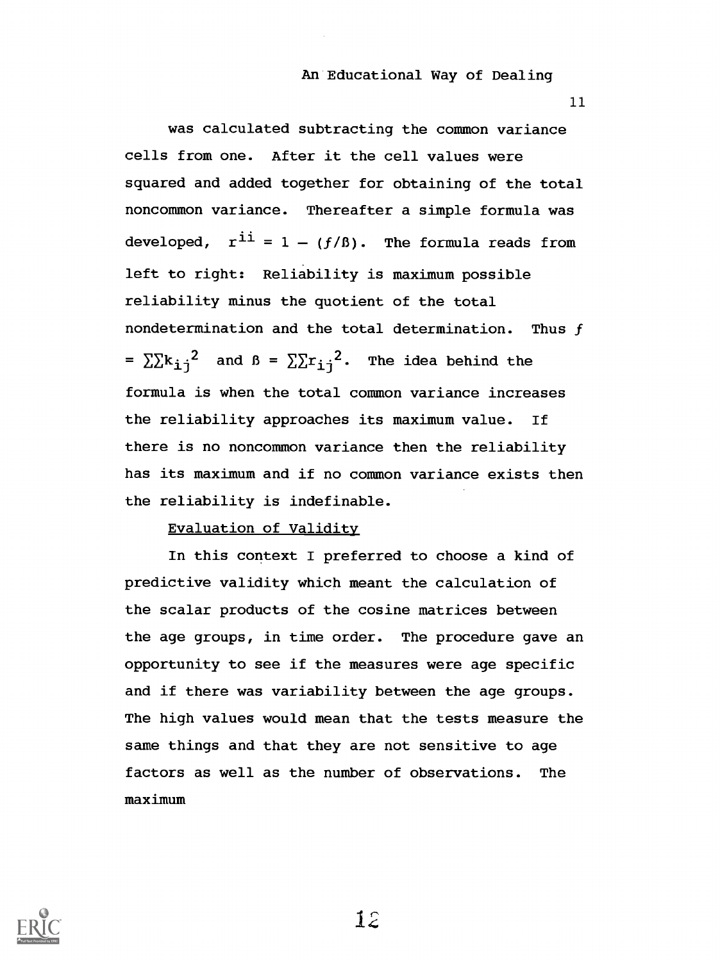11

was calculated subtracting the common variance cells from one. After it the cell values were squared and added together for obtaining of the total noncommon variance. Thereafter a simple formula was developed,  $r^{i} = 1 - (f/\beta)$ . The formula reads from left to right: Reliability is maximum possible reliability minus the quotient of the total nondetermination and the total determination. Thus f =  $\sum k_{i,j}^{2}$  and  $\beta$  =  $\sum \sum r_{i,j}^{2}$ . The idea behind the formula is when the total common variance increases the reliability approaches its maximum value. If there is no noncommon variance then the reliability has its maximum and if no common variance exists then the reliability is indefinable.

## Evaluation of Validity

In this context I preferred to choose a kind of predictive validity which meant the calculation of the scalar products of the cosine matrices between the age groups, in time order. The procedure gave an opportunity to see if the measures were age specific and if there was variability between the age groups. The high values would mean that the tests measure the same things and that they are not sensitive to age factors as well as the number of observations. The maximum

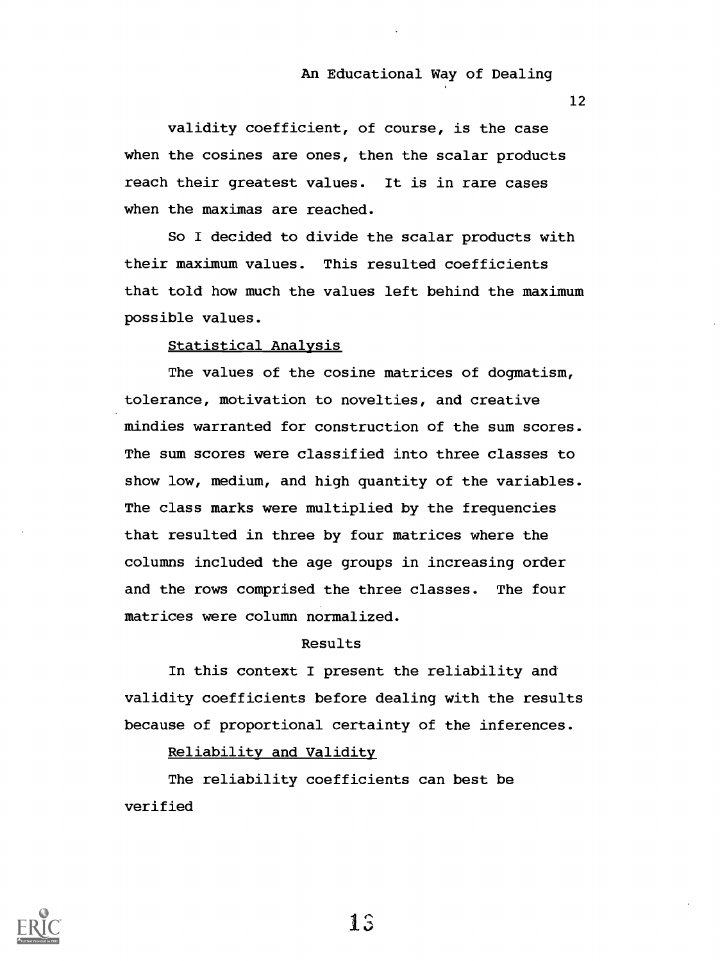12

validity coefficient, of course, is the case when the cosines are ones, then the scalar products reach their greatest values. It is in rare cases when the maximas are reached.

So I decided to divide the scalar products with their maximum values. This resulted coefficients that told how much the values left behind the maximum possible values.

## Statistical Analysis

The values of the cosine matrices of dogmatism, tolerance, motivation to novelties, and creative mindies warranted for construction of the sum scores. The sum scores were classified into three classes to show low, medium, and high quantity of the variables. The class marks were multiplied by the frequencies that resulted in three by four matrices where the columns included the age groups in increasing order and the rows comprised the three classes. The four matrices were column normalized.

## Results

In this context I present the reliability and validity coefficients before dealing with the results because of proportional certainty of the inferences.

Reliability and Validity

The reliability coefficients can best be verified

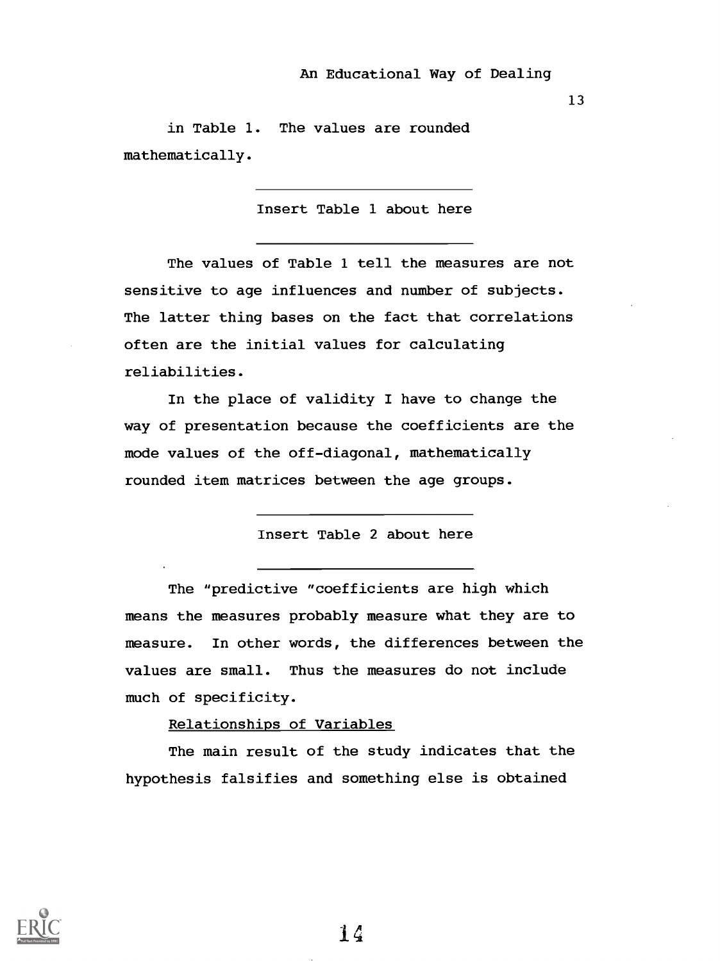13

in Table 1. The values are rounded mathematically.

Insert Table 1 about here

The values of Table 1 tell the measures are not sensitive to age influences and number of subjects. The latter thing bases on the fact that correlations often are the initial values for calculating reliabilities.

In the place of validity I have to change the way of presentation because the coefficients are the mode values of the off-diagonal, mathematically rounded item matrices between the age groups.

Insert Table 2 about here

The "predictive "coefficients are high which means the measures probably measure what they are to measure. In other words, the differences between the values are small. Thus the measures do not include much of specificity.

Relationships of Variables

The main result of the study indicates that the hypothesis falsifies and something else is obtained

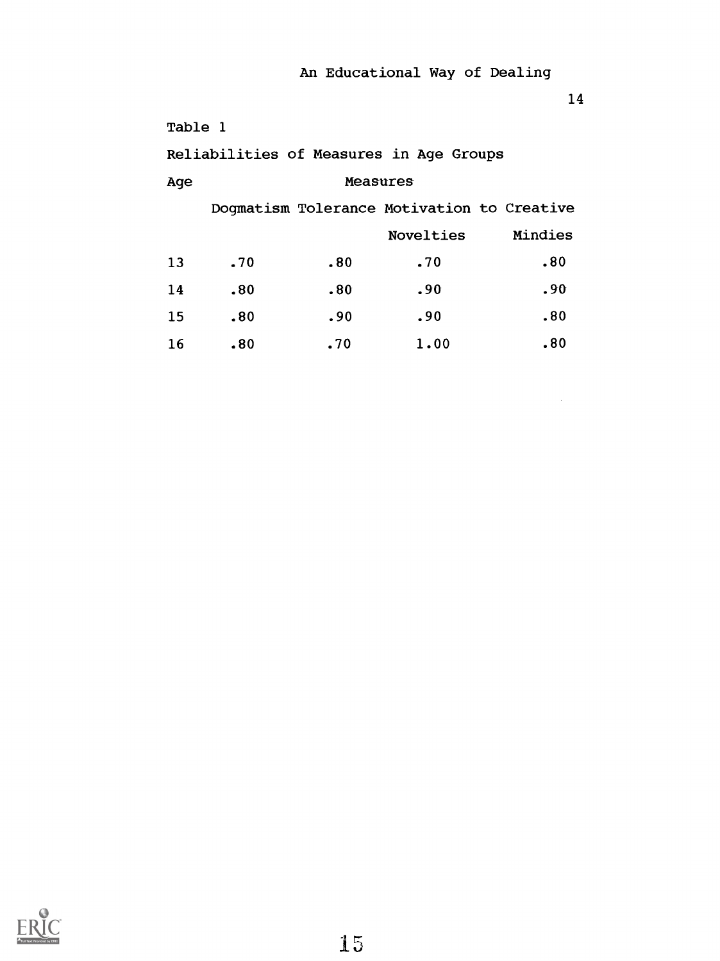14

 $\sim 10^{-11}$ 

| Table 1 |     |                                            |           |         |
|---------|-----|--------------------------------------------|-----------|---------|
|         |     | Reliabilities of Measures in Age Groups    |           |         |
| Age     |     | Measures                                   |           |         |
|         |     | Dogmatism Tolerance Motivation to Creative |           |         |
|         |     |                                            | Novelties | Mindies |
| 13      | .70 | .80                                        | .70       | .80     |
| 14      | .80 | .80                                        | .90       | .90     |
| 15      | .80 | .90                                        | .90       | .80     |
| 16      | .80 | .70                                        | 1.00      | .80     |

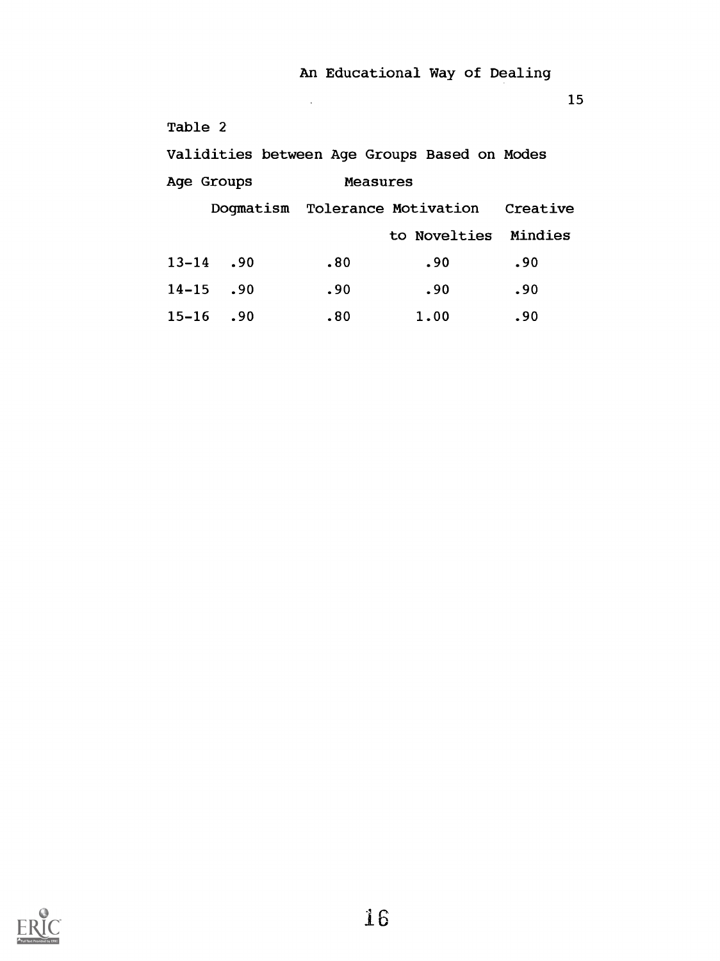15

| Table 2   |               |                 |                                              |     |
|-----------|---------------|-----------------|----------------------------------------------|-----|
|           |               |                 | Validities between Age Groups Based on Modes |     |
|           | Age Groups    | <b>Measures</b> |                                              |     |
|           |               |                 | Dogmatism Tolerance Motivation Creative      |     |
|           |               |                 | to Novelties Mindies                         |     |
|           | $13 - 14$ .90 | .80             | .90                                          | .90 |
| $14 - 15$ | .90           | .90             | .90                                          | .90 |
| $15 - 16$ | .90           | .80             | 1.00                                         | .90 |

 $\mathcal{L}_{\mathcal{A}}$ 

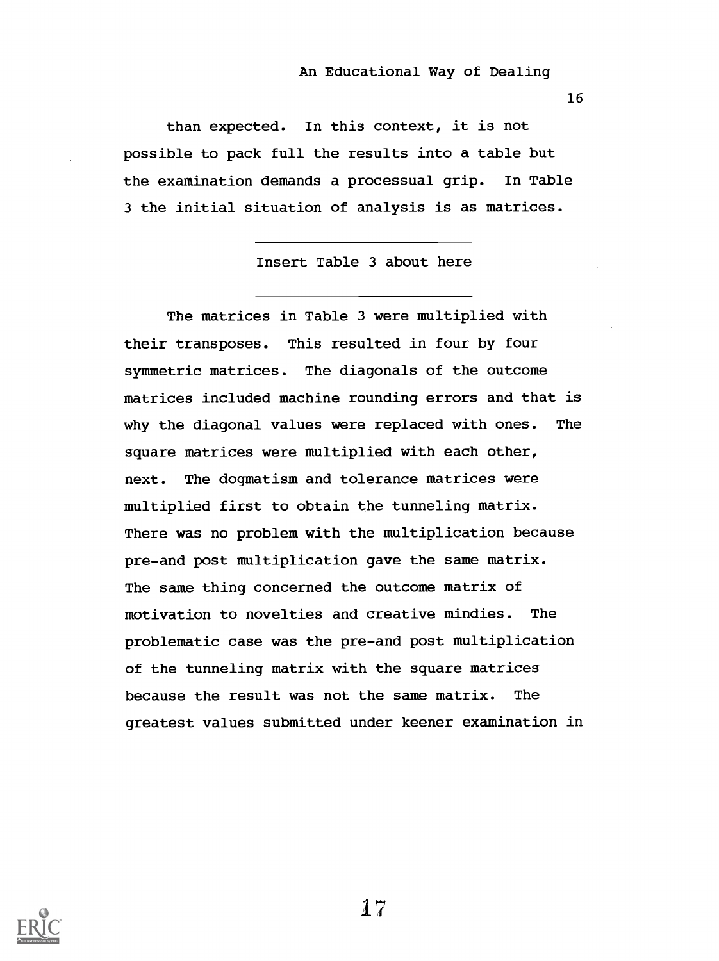16

than expected. In this context, it is not possible to pack full the results into a table but the examination demands a processual grip. In Table 3 the initial situation of analysis is as matrices.

Insert Table 3 about here

The matrices in Table 3 were multiplied with their transposes. This resulted in four by four symmetric matrices. The diagonals of the outcome matrices included machine rounding errors and that is why the diagonal values were replaced with ones. The square matrices were multiplied with each other, next. The dogmatism and tolerance matrices were multiplied first to obtain the tunneling matrix. There was no problem with the multiplication because pre-and post multiplication gave the same matrix. The same thing concerned the outcome matrix of motivation to novelties and creative mindies. The problematic case was the pre-and post multiplication of the tunneling matrix with the square matrices because the result was not the same matrix. The greatest values submitted under keener examination in

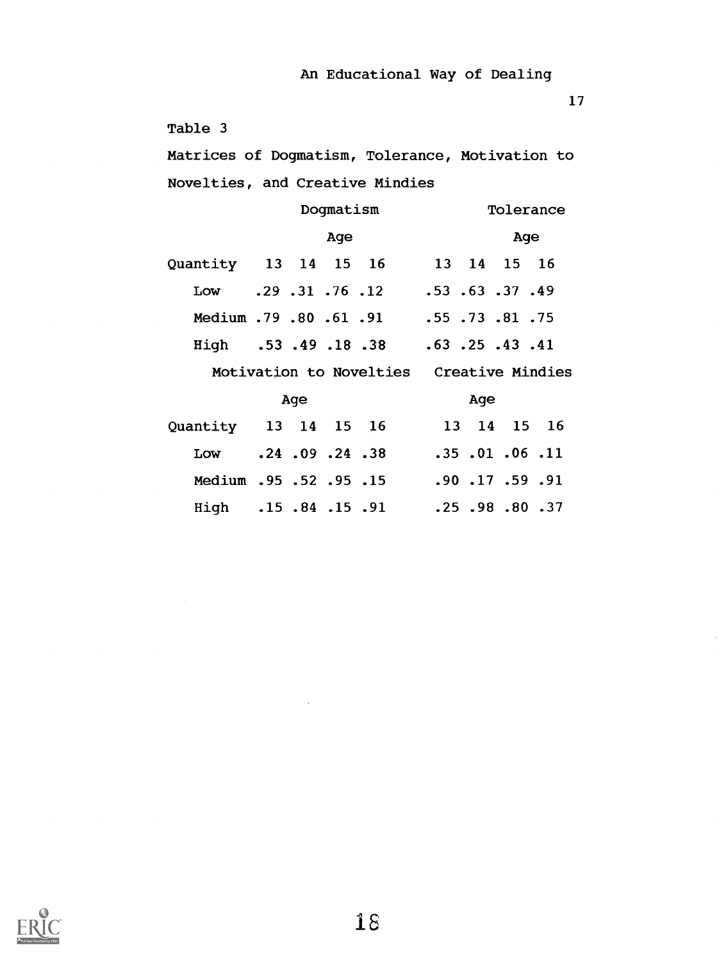17

```
Table 3
```
Matrices of Dogmatism, Tolerance, Motivation to Novelties, and Creative Mindies

|                                         |     | Dogmatism |                                          |  |     |     | Tolerance               |
|-----------------------------------------|-----|-----------|------------------------------------------|--|-----|-----|-------------------------|
|                                         |     | Age       |                                          |  |     | Age |                         |
| Quantity 13 14 15 16 13 14 15 16        |     |           |                                          |  |     |     |                         |
| Low .29 .31 .76 .12 .53 .63 .37 .49     |     |           |                                          |  |     |     |                         |
| 75. 81. 73. 55. 55. PH . 79. 80. 61. 91 |     |           |                                          |  |     |     |                         |
| High .53 .49 .18 .38 .63 .25 .43 .41    |     |           |                                          |  |     |     |                         |
|                                         |     |           | Motivation to Novelties Creative Mindies |  |     |     |                         |
|                                         | Age |           |                                          |  | Age |     |                         |
| Quantity 13 14 15 16                    |     |           |                                          |  |     |     | 13 14 15 16             |
| Low .24 .09 .24 .38 .35 .01 .06 .11     |     |           |                                          |  |     |     |                         |
| Medium .95 .52 .95 .15                  |     |           |                                          |  |     |     | $.90$ $.17$ $.59$ $.91$ |
| High .15.84.15.91                       |     |           |                                          |  |     |     | $.25$ $.98$ $.80$ $.37$ |

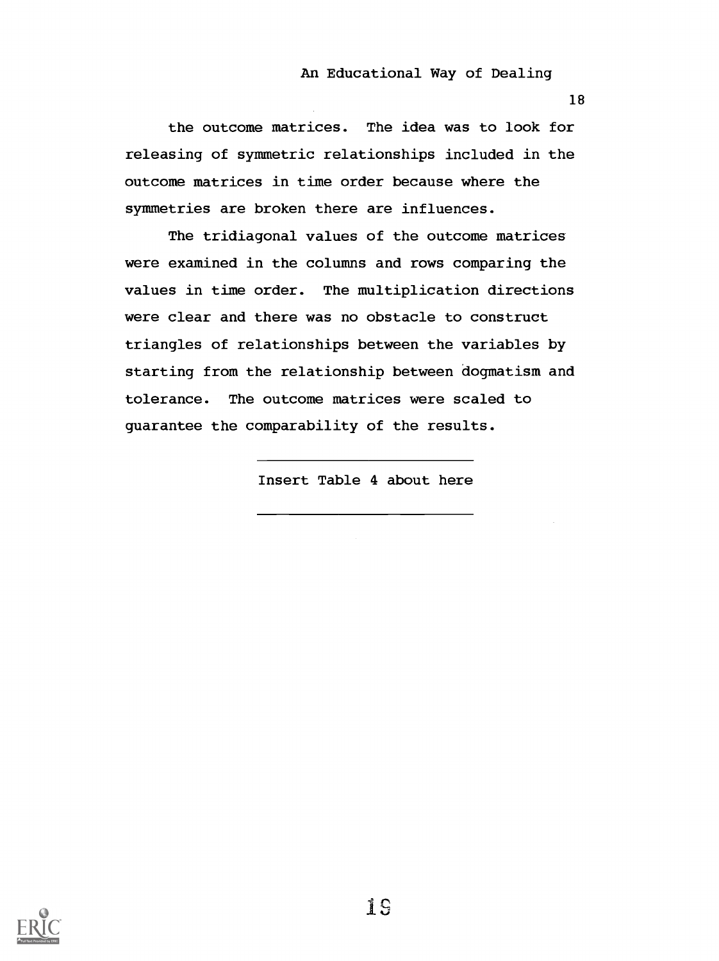18

the outcome matrices. The idea was to look for releasing of symmetric relationships included in the outcome matrices in time order because where the symmetries are broken there are influences.

The tridiagonal values of the outcome matrices were examined in the columns and rows comparing the values in time order. The multiplication directions were clear and there was no obstacle to construct triangles of relationships between the variables by starting from the relationship between dogmatism and tolerance. The outcome matrices were scaled to guarantee the comparability of the results.

Insert Table 4 about here

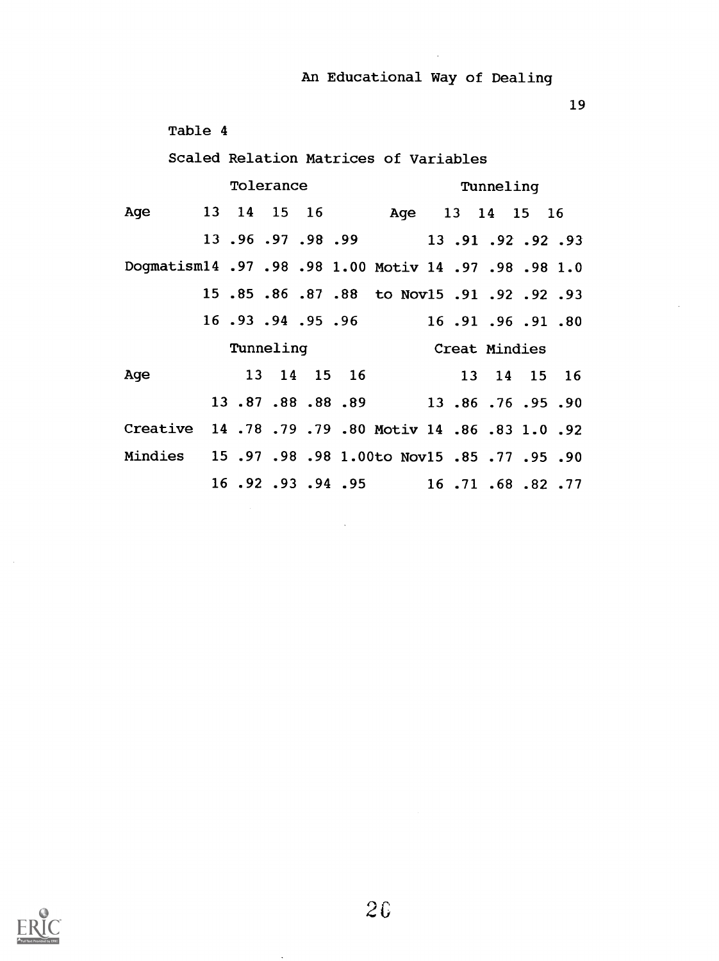19

|                                                 | Table 4 |           |  |                                       |  |           |               |  |
|-------------------------------------------------|---------|-----------|--|---------------------------------------|--|-----------|---------------|--|
|                                                 |         |           |  | Scaled Relation Matrices of Variables |  |           |               |  |
|                                                 |         | Tolerance |  |                                       |  | Tunneling |               |  |
| Age                                             |         |           |  | 13 14 15 16 Age 13 14 15 16           |  |           |               |  |
|                                                 |         |           |  | 13.96.97.98.99 13.91.92.92.93         |  |           |               |  |
| Dogmatism14.97.98.98 1.00 Motiv 14.97.98.98 1.0 |         |           |  |                                       |  |           |               |  |
|                                                 |         |           |  | 15.85.86.87.88 to Nov15.91.92.92.93   |  |           |               |  |
|                                                 |         |           |  | 16.91.94.95.96 16.91.96.91.80         |  |           |               |  |
|                                                 |         | Tunneling |  |                                       |  |           | Creat Mindies |  |
| Age                                             |         |           |  | 13 14 15 16                           |  |           | 13 14 15 16   |  |
|                                                 |         |           |  | 13.87.88.88.89 13.86.76.95.90         |  |           |               |  |
| Creative 14.78.79.79.80 Motiv 14.86.83 1.0.92   |         |           |  |                                       |  |           |               |  |
| Mindies 15.97.98.98 1.00to Nov15.85.77.95.90    |         |           |  |                                       |  |           |               |  |
|                                                 |         |           |  | 16.92.93.94.95 16.71.68.82.77         |  |           |               |  |



 $\sim$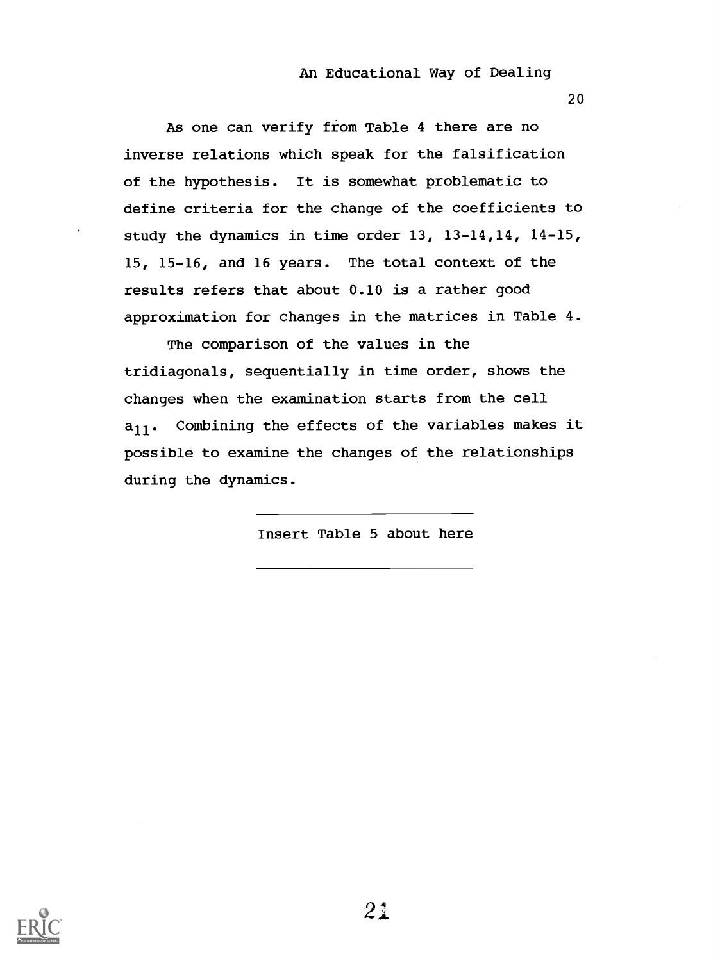20

As one can verify from Table 4 there are no inverse relations which speak for the falsification of the hypothesis. It is somewhat problematic to define criteria for the change of the coefficients to study the dynamics in time order 13, 13-14,14, 14-15, 15, 15-16, and 16 years. The total context of the results refers that about 0.10 is a rather good approximation for changes in the matrices in Table 4.

The comparison of the values in the tridiagonals, sequentially in time order, shows the changes when the examination starts from the cell  $a_{11}$ . Combining the effects of the variables makes it possible to examine the changes of the relationships during the dynamics.

Insert Table 5 about here

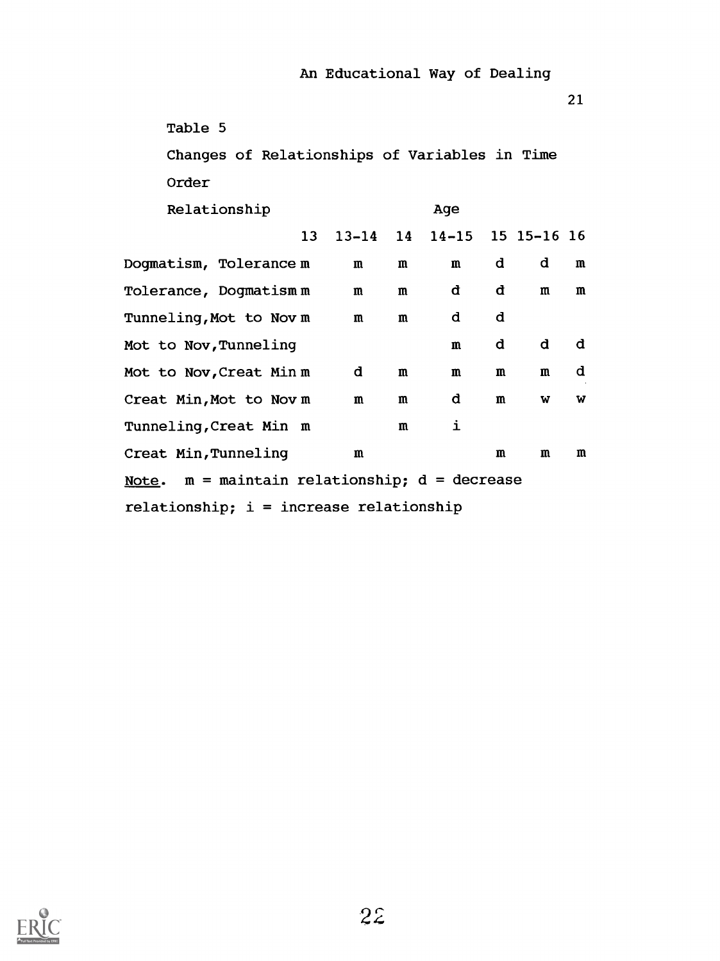| Table 5                                       |              |              |                   |              |                |              |
|-----------------------------------------------|--------------|--------------|-------------------|--------------|----------------|--------------|
| Changes of Relationships of Variables in Time |              |              |                   |              |                |              |
| Order                                         |              |              |                   |              |                |              |
| Relationship                                  |              |              | Age               |              |                |              |
| 13                                            | $13 - 14$ 14 |              | 14-15 15 15-16 16 |              |                |              |
| Dogmatism, Tolerance m                        | $\mathbf{m}$ | $\mathbf{m}$ | $\mathbf{m}$      | d            | d              | m            |
| Tolerance, Dogmatism m                        | $\mathbf{m}$ | $\mathbf{m}$ | đ                 | đ            | $\mathfrak{m}$ | $\mathbf{m}$ |
| Tunneling,Mot to Novm                         | m            | m            | d                 | d            |                |              |
| Mot to Nov, Tunneling                         |              |              | m                 | đ            | đ              | đ            |
| Mot to Nov,Creat Min m                        | d            | m            | m                 | m            | m              | d            |
| Creat Min, Mot to Nov m                       | $\mathbf{m}$ | m            | d                 | $\mathbf{m}$ | W              | W            |
| Tunneling, Creat Min m                        |              | m            | i                 |              |                |              |
| Creat Min, Tunneling                          | m            |              |                   | m            | m              | m            |
| Note. m = maintain relationship; d = decrease |              |              |                   |              |                |              |
| relationship; i = increase relationship       |              |              |                   |              |                |              |

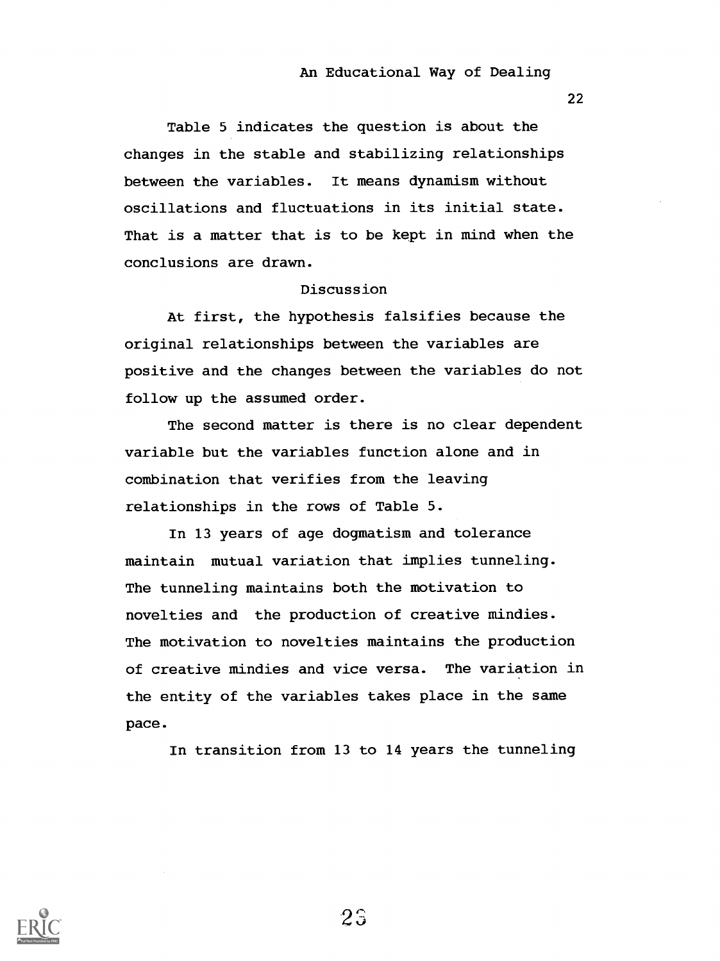22

Table 5 indicates the question is about the changes in the stable and stabilizing relationships between the variables. It means dynamism without oscillations and fluctuations in its initial state. That is a matter that is to be kept in mind when the conclusions are drawn.

## Discussion

At first, the hypothesis falsifies because the original relationships between the variables are positive and the changes between the variables do not follow up the assumed order.

The second matter is there is no clear dependent variable but the variables function alone and in combination that verifies from the leaving relationships in the rows of Table 5.

In 13 years of age dogmatism and tolerance maintain mutual variation that implies tunneling. The tunneling maintains both the motivation to novelties and the production of creative mindies. The motivation to novelties maintains the production of creative mindies and vice versa. The variation in the entity of the variables takes place in the same pace.

In transition from 13 to 14 years the tunneling

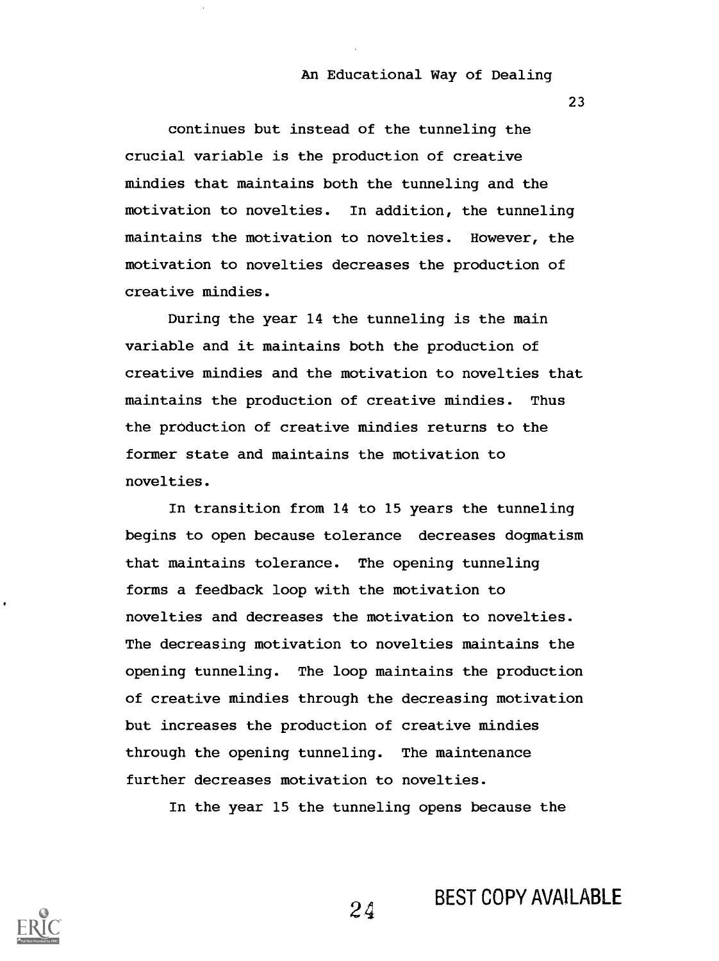23

continues but instead of the tunneling the crucial variable is the production of creative mindies that maintains both the tunneling and the motivation to novelties. In addition, the tunneling maintains the motivation to novelties. However, the motivation to novelties decreases the production of creative mindies.

During the year 14 the tunneling is the main variable and it maintains both the production of creative mindies and the motivation to novelties that maintains the production of creative mindies. Thus the production of creative mindies returns to the former state and maintains the motivation to novelties.

In transition from 14 to 15 years the tunneling begins to open because tolerance decreases dogmatism that maintains tolerance. The opening tunneling forms a feedback loop with the motivation to novelties and decreases the motivation to novelties. The decreasing motivation to novelties maintains the opening tunneling. The loop maintains the production of creative mindies through the decreasing motivation but increases the production of creative mindies through the opening tunneling. The maintenance further decreases motivation to novelties.

In the year 15 the tunneling opens because the

BEST COPY AVAILABLE



2.4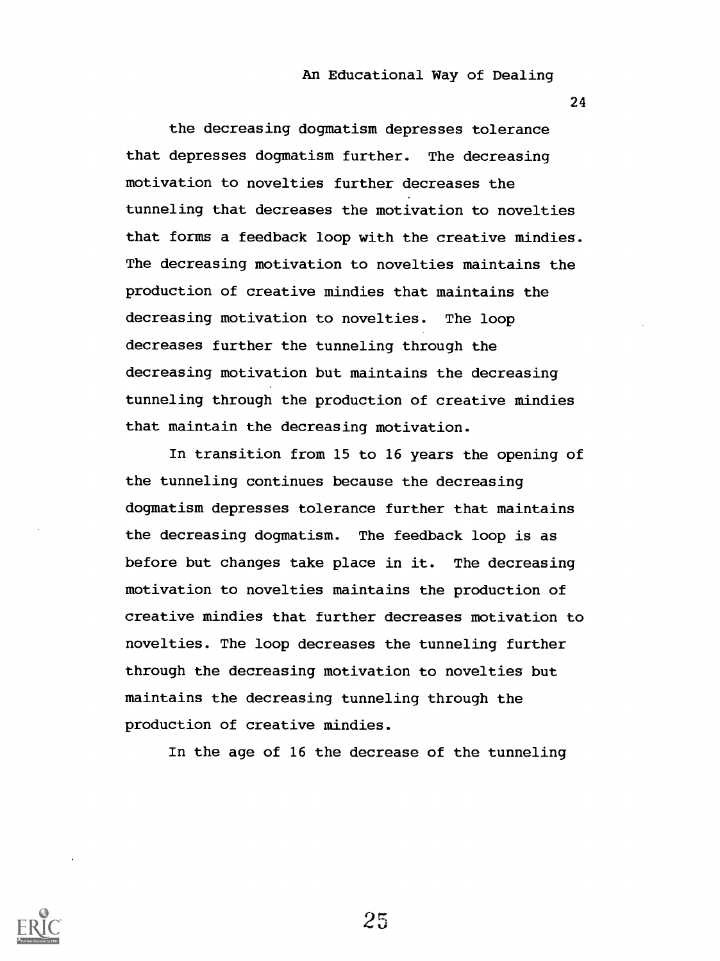24

the decreasing dogmatism depresses tolerance that depresses dogmatism further. The decreasing motivation to novelties further decreases the tunneling that decreases the motivation to novelties that forms a feedback loop with the creative mindies. The decreasing motivation to novelties maintains the production of creative mindies that maintains the decreasing motivation to novelties. The loop decreases further the tunneling through the decreasing motivation but maintains the decreasing tunneling through the production of creative mindies that maintain the decreasing motivation.

In transition from 15 to 16 years the opening of the tunneling continues because the decreasing dogmatism depresses tolerance further that maintains the decreasing dogmatism. The feedback loop is as before but changes take place in it. The decreasing motivation to novelties maintains the production of creative mindies that further decreases motivation to novelties. The loop decreases the tunneling further through the decreasing motivation to novelties but maintains the decreasing tunneling through the production of creative mindies.

In the age of 16 the decrease of the tunneling

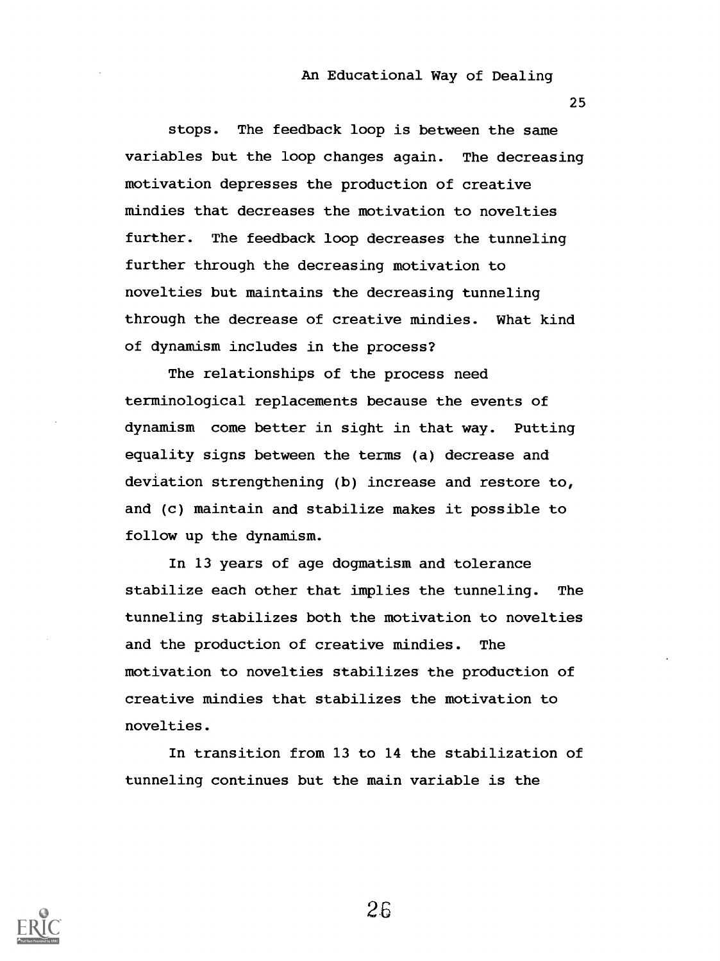25

stops. The feedback loop is between the same variables but the loop changes again. The decreasing motivation depresses the production of creative mindies that decreases the motivation to novelties further. The feedback loop decreases the tunneling further through the decreasing motivation to novelties but maintains the decreasing tunneling through the decrease of creative mindies. What kind of dynamism includes in the process?

The relationships of the process need terminological replacements because the events of dynamism come better in sight in that way. Putting equality signs between the terms (a) decrease and deviation strengthening (b) increase and restore to, and (c) maintain and stabilize makes it possible to follow up the dynamism.

In 13 years of age dogmatism and tolerance stabilize each other that implies the tunneling. The tunneling stabilizes both the motivation to novelties and the production of creative mindies. The motivation to novelties stabilizes the production of creative mindies that stabilizes the motivation to novelties.

In transition from 13 to 14 the stabilization of tunneling continues but the main variable is the



2.6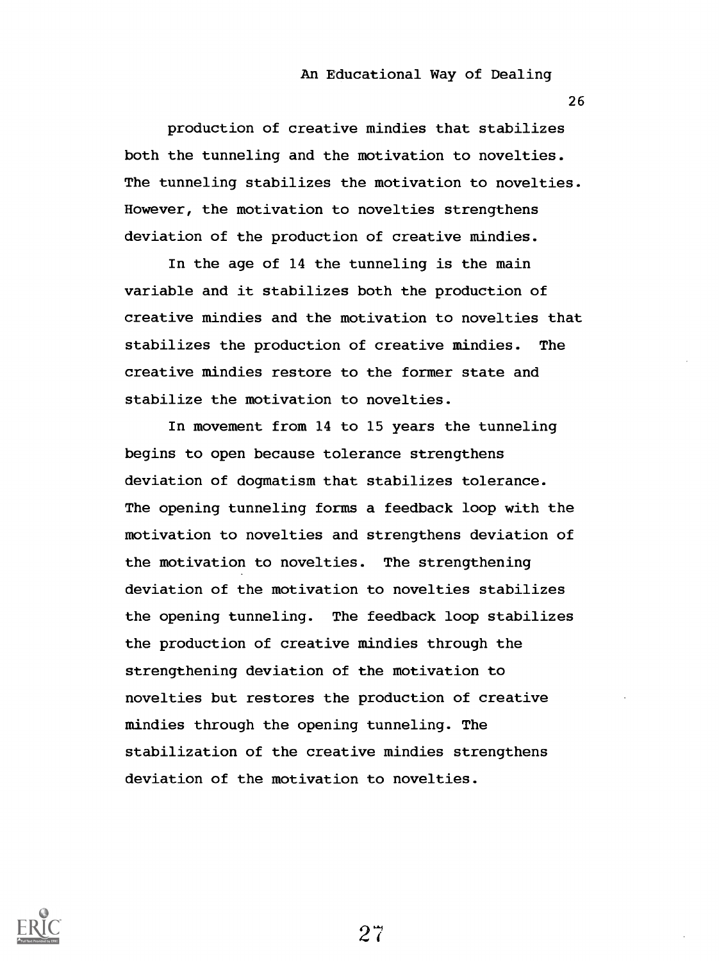26

production of creative mindies that stabilizes both the tunneling and the motivation to novelties. The tunneling stabilizes the motivation to novelties. However, the motivation to novelties strengthens deviation of the production of creative mindies.

In the age of 14 the tunneling is the main variable and it stabilizes both the production of creative mindies and the motivation to novelties that stabilizes the production of creative mindies. The creative mindies restore to the former state and stabilize the motivation to novelties.

In movement from 14 to 15 years the tunneling begins to open because tolerance strengthens deviation of dogmatism that stabilizes tolerance. The opening tunneling forms a feedback loop with the motivation to novelties and strengthens deviation of the motivation to novelties. The strengthening deviation of the motivation to novelties stabilizes the opening tunneling. The feedback loop stabilizes the production of creative mindies through the strengthening deviation of the motivation to novelties but restores the production of creative mindies through the opening tunneling. The stabilization of the creative mindies strengthens deviation of the motivation to novelties.

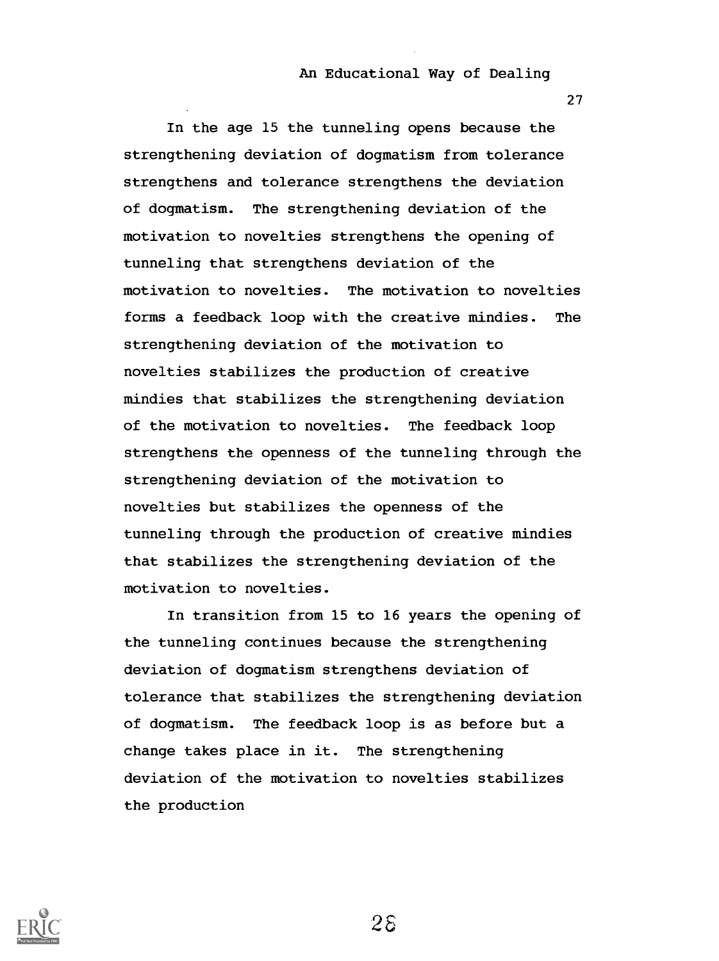27

In the age 15 the tunneling opens because the strengthening deviation of dogmatism from tolerance strengthens and tolerance strengthens the deviation of dogmatism. The strengthening deviation of the motivation to novelties strengthens the opening of tunneling that strengthens deviation of the motivation to novelties. The motivation to novelties forms a feedback loop with the creative mindies. The strengthening deviation of the motivation to novelties stabilizes the production of creative mindies that stabilizes the strengthening deviation of the motivation to novelties. The feedback loop strengthens the openness of the tunneling through the strengthening deviation of the motivation to novelties but stabilizes the openness of the tunneling through the production of creative mindies that stabilizes the strengthening deviation of the motivation to novelties.

In transition from 15 to 16 years the opening of the tunneling continues because the strengthening deviation of dogmatism strengthens deviation of tolerance that stabilizes the strengthening deviation of dogmatism. The feedback loop is as before but a change takes place in it. The strengthening deviation of the motivation to novelties stabilizes the production

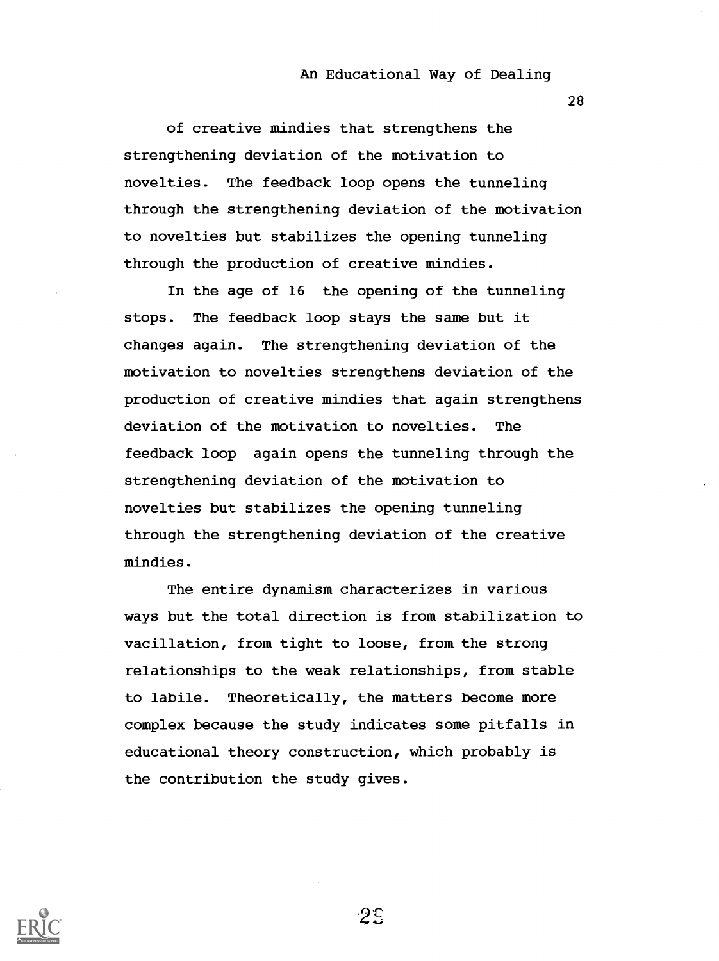28

of creative mindies that strengthens the strengthening deviation of the motivation to novelties. The feedback loop opens the tunneling through the strengthening deviation of the motivation to novelties but stabilizes the opening tunneling through the production of creative mindies.

In the age of 16 the opening of the tunneling stops. The feedback loop stays the same but it changes again. The strengthening deviation of the motivation to novelties strengthens deviation of the production of creative mindies that again strengthens deviation of the motivation to novelties. The feedback loop again opens the tunneling through the strengthening deviation of the motivation to novelties but stabilizes the opening tunneling through the strengthening deviation of the creative mindies.

The entire dynamism characterizes in various ways but the total direction is from stabilization to vacillation, from tight to loose, from the strong relationships to the weak relationships, from stable to labile. Theoretically, the matters become more complex because the study indicates some pitfalls in educational theory construction, which probably is the contribution the study gives.



2E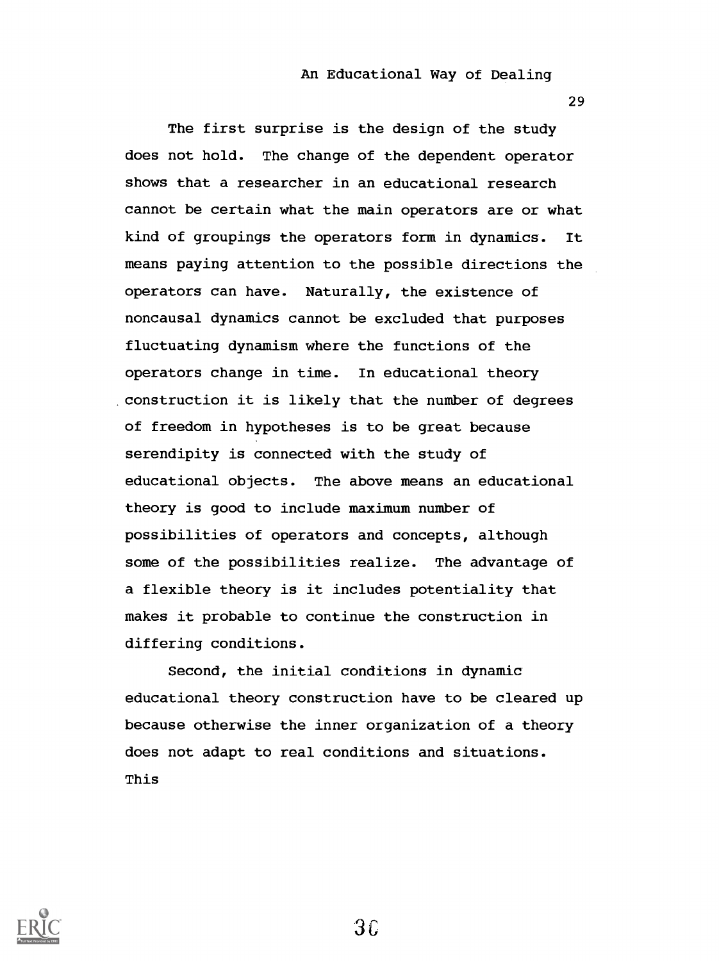29

The first surprise is the design of the study does not hold. The change of the dependent operator shows that a researcher in an educational research cannot be certain what the main operators are or what kind of groupings the operators form in dynamics. It means paying attention to the possible directions the operators can have. Naturally, the existence of noncausal dynamics cannot be excluded that purposes fluctuating dynamism where the functions of the operators change in time. In educational theory construction it is likely that the number of degrees of freedom in hypotheses is to be great because serendipity is connected with the study of educational objects. The above means an educational theory is good to include maximum number of possibilities of operators and concepts, although some of the possibilities realize. The advantage of a flexible theory is it includes potentiality that makes it probable to continue the construction in differing conditions.

Second, the initial conditions in dynamic educational theory construction have to be cleared up because otherwise the inner organization of a theory does not adapt to real conditions and situations. This



3C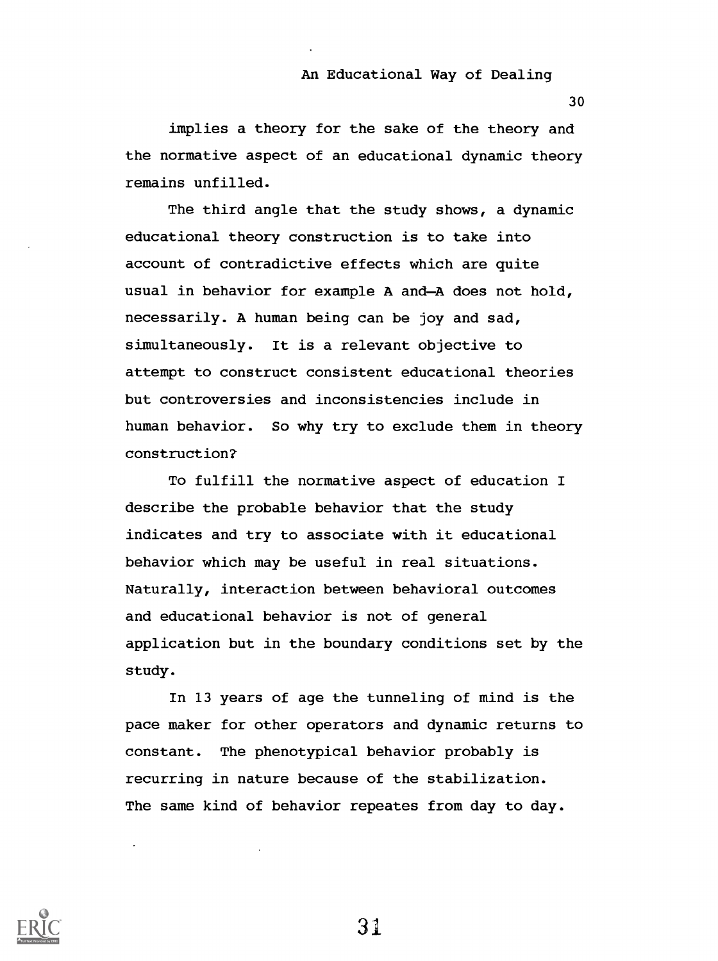implies a theory for the sake of the theory and the normative aspect of an educational dynamic theory remains unfilled.

The third angle that the study shows, a dynamic educational theory construction is to take into account of contradictive effects which are quite usual in behavior for example A and-A does not hold, necessarily. A human being can be joy and sad, simultaneously. It is a relevant objective to attempt to construct consistent educational theories but controversies and inconsistencies include in human behavior. So why try to exclude them in theory construction?

To fulfill the normative aspect of education I describe the probable behavior that the study indicates and try to associate with it educational behavior which may be useful in real situations. Naturally, interaction between behavioral outcomes and educational behavior is not of general application but in the boundary conditions set by the study.

In 13 years of age the tunneling of mind is the pace maker for other operators and dynamic returns to constant. The phenotypical behavior probably is recurring in nature because of the stabilization. The same kind of behavior repeates from day to day.



31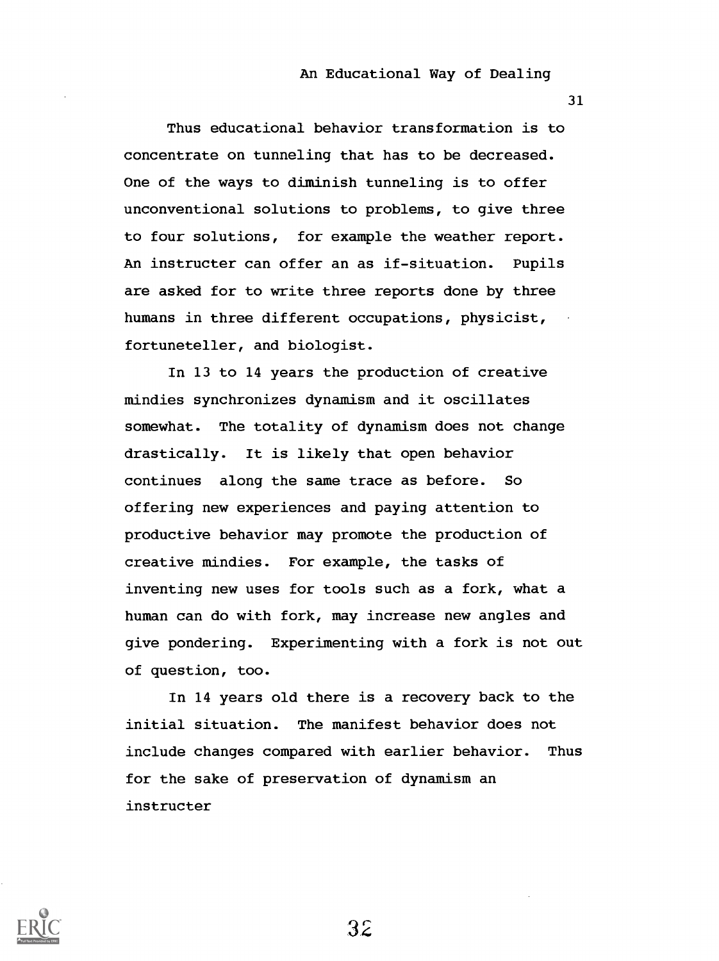31

Thus educational behavior transformation is to concentrate on tunneling that has to be decreased. One of the ways to diminish tunneling is to offer unconventional solutions to problems, to give three to four solutions, for example the weather report. An instructer can offer an as if-situation. Pupils are asked for to write three reports done by three humans in three different occupations, physicist, fortuneteller, and biologist.

In 13 to 14 years the production of creative mindies synchronizes dynamism and it oscillates somewhat. The totality of dynamism does not change drastically. It is likely that open behavior continues along the same trace as before. So offering new experiences and paying attention to productive behavior may promote the production of creative mindies. For example, the tasks of inventing new uses for tools such as a fork, what a human can do with fork, may increase new angles and give pondering. Experimenting with a fork is not out of question, too.

In 14 years old there is a recovery back to the initial situation. The manifest behavior does not include changes compared with earlier behavior. Thus for the sake of preservation of dynamism an instructer

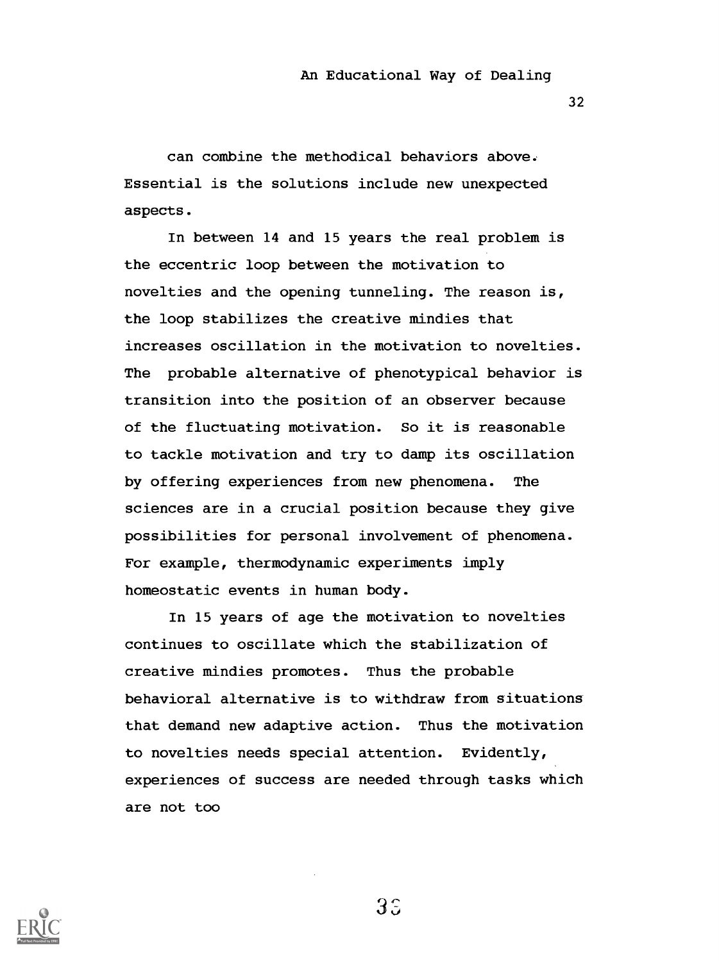32

can combine the methodical behaviors above. Essential is the solutions include new unexpected aspects.

In between 14 and 15 years the real problem is the eccentric loop between the motivation to novelties and the opening tunneling. The reason is, the loop stabilizes the creative mindies that increases oscillation in the motivation to novelties. The probable alternative of phenotypical behavior is transition into the position of an observer because of the fluctuating motivation. So it is reasonable to tackle motivation and try to damp its oscillation by offering experiences from new phenomena. The sciences are in a crucial position because they give possibilities for personal involvement of phenomena. For example, thermodynamic experiments imply homeostatic events in human body.

In 15 years of age the motivation to novelties continues to oscillate which the stabilization of creative mindies promotes. Thus the probable behavioral alternative is to withdraw from situations that demand new adaptive action. Thus the motivation to novelties needs special attention. Evidently, experiences of success are needed through tasks which are not too



 $3\degree$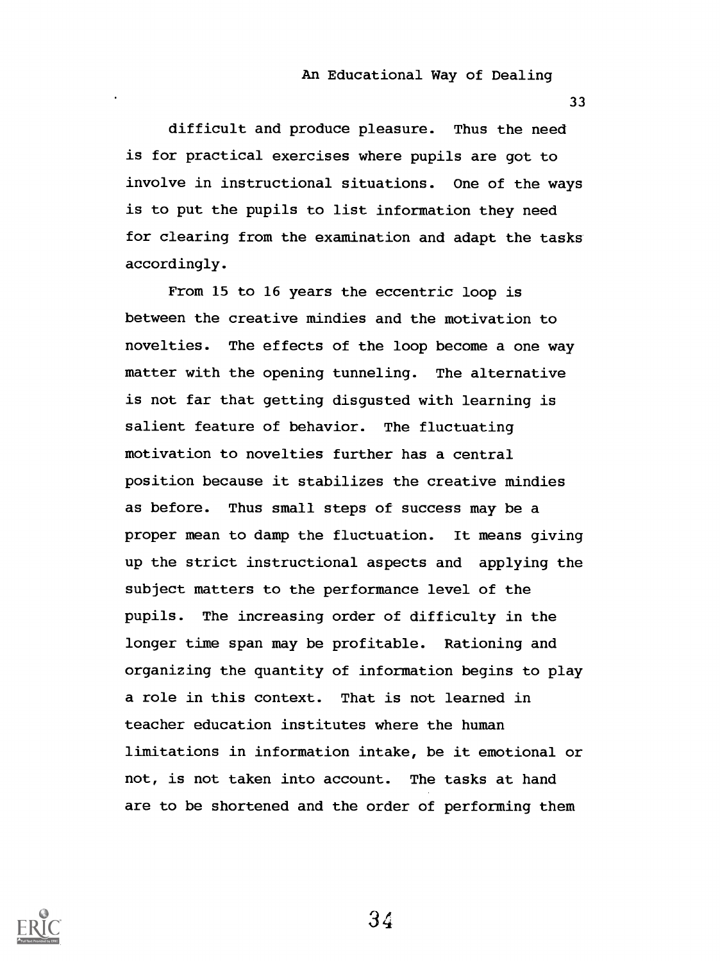33

difficult and produce pleasure. Thus the need is for practical exercises where pupils are got to involve in instructional situations. One of the ways is to put the pupils to list information they need for clearing from the examination and adapt the tasks accordingly.

From 15 to 16 years the eccentric loop is between the creative mindies and the motivation to novelties. The effects of the loop become a one way matter with the opening tunneling. The alternative is not far that getting disgusted with learning is salient feature of behavior. The fluctuating motivation to novelties further has a central position because it stabilizes the creative mindies as before. Thus small steps of success may be a proper mean to damp the fluctuation. It means giving up the strict instructional aspects and applying the subject matters to the performance level of the pupils. The increasing order of difficulty in the longer time span may be profitable. Rationing and organizing the quantity of information begins to play a role in this context. That is not learned in teacher education institutes where the human limitations in information intake, be it emotional or not, is not taken into account. The tasks at hand are to be shortened and the order of performing them

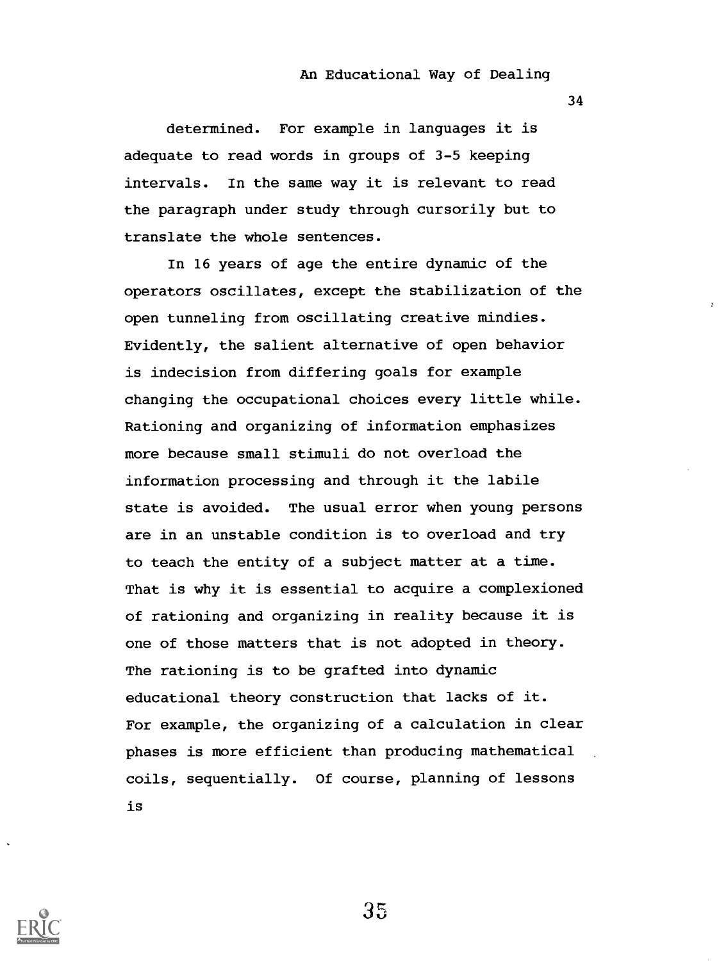34

determined. For example in languages it is adequate to read words in groups of 3-5 keeping intervals. In the same way it is relevant to read the paragraph under study through cursorily but to translate the whole sentences.

In 16 years of age the entire dynamic of the operators oscillates, except the stabilization of the open tunneling from oscillating creative mindies. Evidently, the salient alternative of open behavior is indecision from differing goals for example changing the occupational choices every little while. Rationing and organizing of information emphasizes more because small stimuli do not overload the information processing and through it the labile state is avoided. The usual error when young persons are in an unstable condition is to overload and try to teach the entity of a subject matter at a time. That is why it is essential to acquire a complexioned of rationing and organizing in reality because it is one of those matters that is not adopted in theory. The rationing is to be grafted into dynamic educational theory construction that lacks of it. For example, the organizing of a calculation in clear phases is more efficient than producing mathematical coils, sequentially. Of course, planning of lessons is

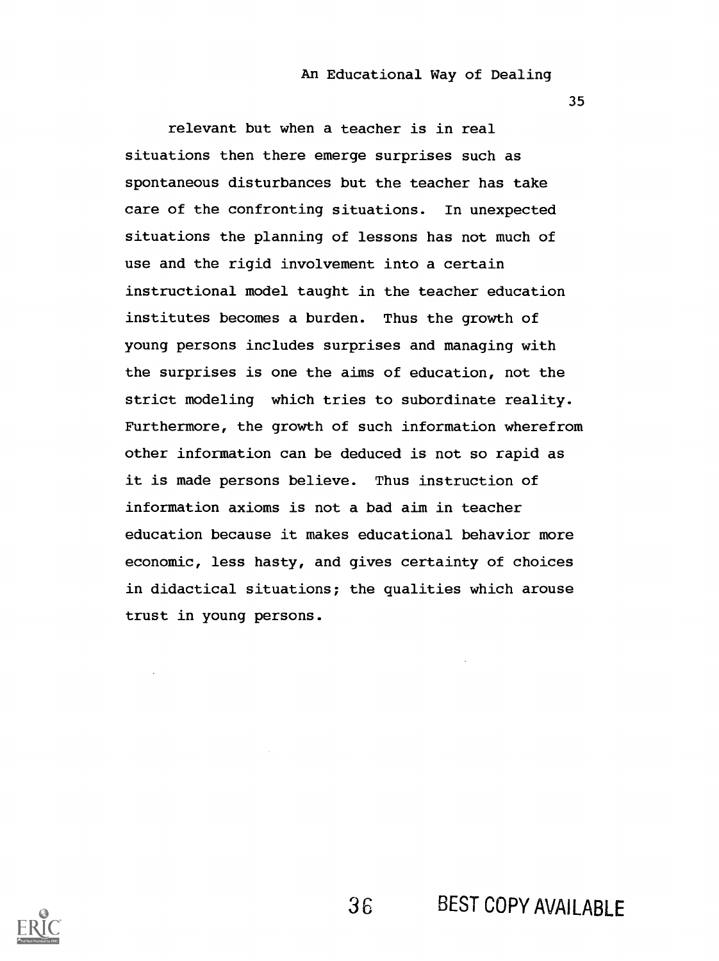35

relevant but when a teacher is in real situations then there emerge surprises such as spontaneous disturbances but the teacher has take care of the confronting situations. In unexpected situations the planning of lessons has not much of use and the rigid involvement into a certain instructional model taught in the teacher education institutes becomes a burden. Thus the growth of young persons includes surprises and managing with the surprises is one the aims of education, not the strict modeling which tries to subordinate reality. Furthermore, the growth of such information wherefrom other information can be deduced is not so rapid as it is made persons believe. Thus instruction of information axioms is not a bad aim in teacher education because it makes educational behavior more economic, less hasty, and gives certainty of choices in didactical situations; the qualities which arouse trust in young persons.

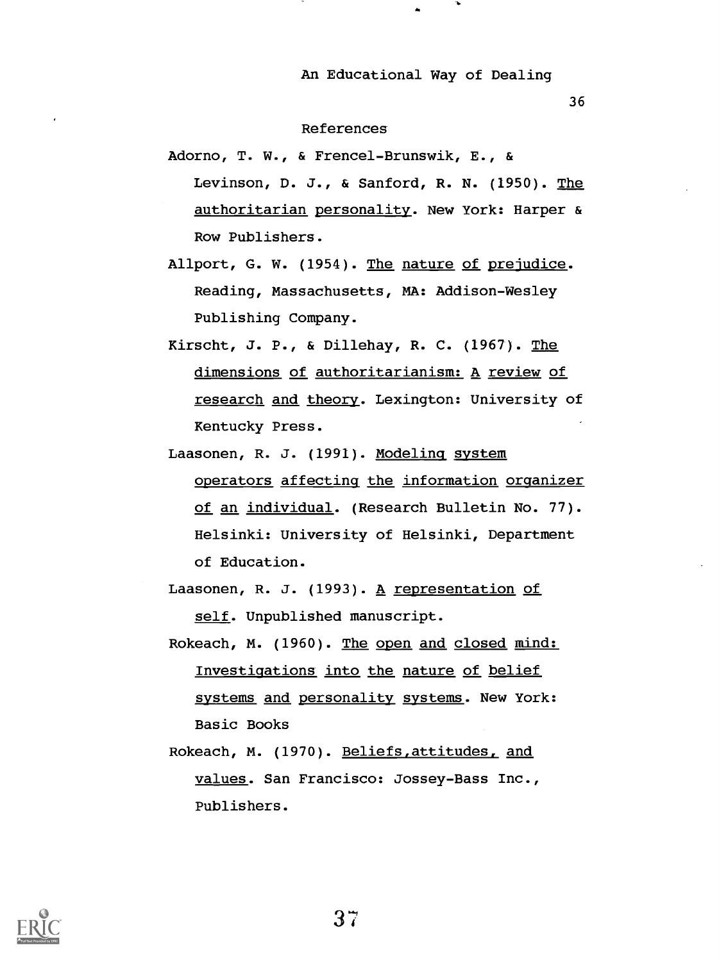36

#### References

- Adorno, T. W., & Frencel-Brunswik, E., & Levinson, D. J., & Sanford, R. N. (1950). The authoritarian personality. New York: Harper & Row Publishers.
- Allport, G. W. (1954). The nature of prejudice. Reading, Massachusetts, MA: Addison-Wesley Publishing Company.
- Kirscht, J. P., & Dillehay, R. C. (1967). The dimensions of authoritarianism: A review of research and theory. Lexington: University of Kentucky Press.
- Laasonen, R. J. (1991). Modeling system operators affecting the information organizer of an individual. (Research Bulletin No. 77). Helsinki: University of Helsinki, Department of Education.
- Laasonen, R. J. (1993). A representation of self. Unpublished manuscript.
- Rokeach, M. (1960). The open and closed mind: Investigations into the nature of belief systems and personality systems. New York: Basic Books
- Rokeach, M. (1970). Beliefs,attitudes, and values. San Francisco: Jossey-Bass Inc., Publishers.